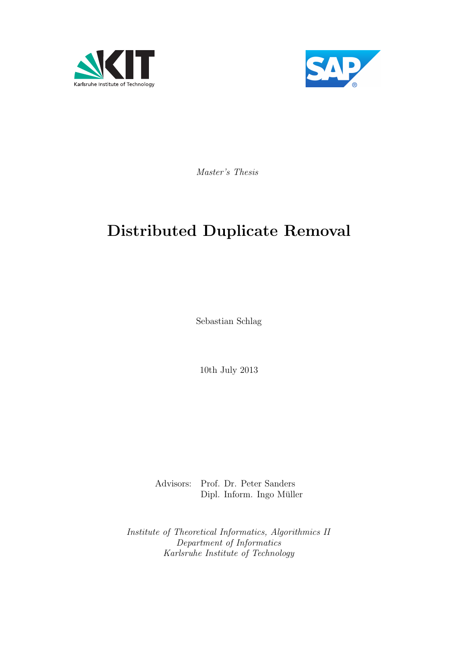



Master's Thesis

# Distributed Duplicate Removal

Sebastian Schlag

10th July 2013

Advisors: Prof. Dr. Peter Sanders Dipl. Inform. Ingo Müller

Institute of Theoretical Informatics, Algorithmics II Department of Informatics Karlsruhe Institute of Technology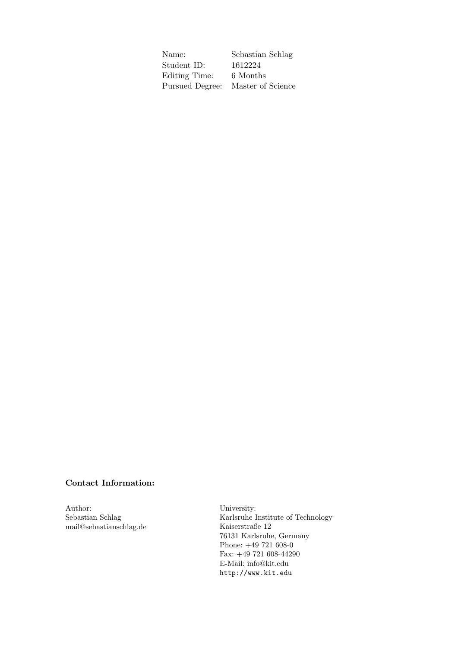Name: Sebastian Schlag Student ID: 1612224 Editing Time: 6 Months Pursued Degree: Master of Science

#### Contact Information:

Author: Sebastian Schlag mail@sebastianschlag.de

University: Karlsruhe Institute of Technology Kaiserstraße 12 76131 Karlsruhe, Germany Phone: +49 721 608-0 Fax: +49 721 608-44290 E-Mail: info@kit.edu <http://www.kit.edu>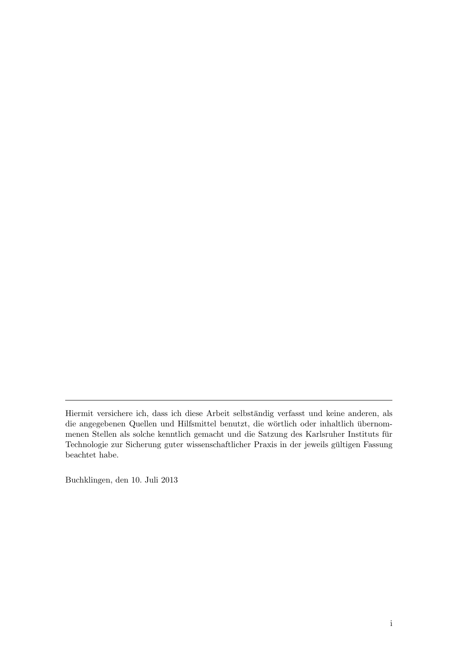Buchklingen, den 10. Juli 2013

Hiermit versichere ich, dass ich diese Arbeit selbständig verfasst und keine anderen, als die angegebenen Quellen und Hilfsmittel benutzt, die wörtlich oder inhaltlich übernommenen Stellen als solche kenntlich gemacht und die Satzung des Karlsruher Instituts für Technologie zur Sicherung guter wissenschaftlicher Praxis in der jeweils gultigen Fassung ¨ beachtet habe.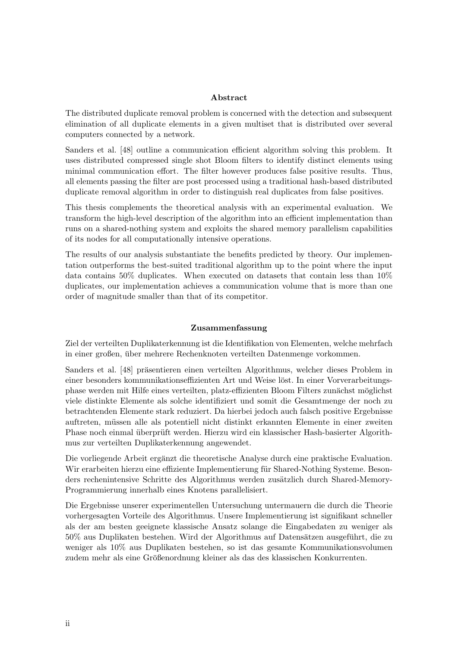#### Abstract

The distributed duplicate removal problem is concerned with the detection and subsequent elimination of all duplicate elements in a given multiset that is distributed over several computers connected by a network.

Sanders et al. [\[48\]](#page-62-0) outline a communication efficient algorithm solving this problem. It uses distributed compressed single shot Bloom filters to identify distinct elements using minimal communication effort. The filter however produces false positive results. Thus, all elements passing the filter are post processed using a traditional hash-based distributed duplicate removal algorithm in order to distinguish real duplicates from false positives.

This thesis complements the theoretical analysis with an experimental evaluation. We transform the high-level description of the algorithm into an efficient implementation than runs on a shared-nothing system and exploits the shared memory parallelism capabilities of its nodes for all computationally intensive operations.

The results of our analysis substantiate the benefits predicted by theory. Our implementation outperforms the best-suited traditional algorithm up to the point where the input data contains 50% duplicates. When executed on datasets that contain less than 10% duplicates, our implementation achieves a communication volume that is more than one order of magnitude smaller than that of its competitor.

#### Zusammenfassung

Ziel der verteilten Duplikaterkennung ist die Identifikation von Elementen, welche mehrfach in einer großen, uber mehrere Rechenknoten verteilten Datenmenge vorkommen. ¨

Sanders et al. [\[48\]](#page-62-0) präsentieren einen verteilten Algorithmus, welcher dieses Problem in einer besonders kommunikationseffizienten Art und Weise löst. In einer Vorverarbeitungsphase werden mit Hilfe eines verteilten, platz-effizienten Bloom Filters zunächst möglichst viele distinkte Elemente als solche identifiziert und somit die Gesamtmenge der noch zu betrachtenden Elemente stark reduziert. Da hierbei jedoch auch falsch positive Ergebnisse auftreten, mussen alle als potentiell nicht distinkt erkannten Elemente in einer zweiten ¨ Phase noch einmal überprüft werden. Hierzu wird ein klassischer Hash-basierter Algorithmus zur verteilten Duplikaterkennung angewendet.

Die vorliegende Arbeit ergänzt die theoretische Analyse durch eine praktische Evaluation. Wir erarbeiten hierzu eine effiziente Implementierung für Shared-Nothing Systeme. Besonders rechenintensive Schritte des Algorithmus werden zusätzlich durch Shared-Memory-Programmierung innerhalb eines Knotens parallelisiert.

Die Ergebnisse unserer experimentellen Untersuchung untermauern die durch die Theorie vorhergesagten Vorteile des Algorithmus. Unsere Implementierung ist signifikant schneller als der am besten geeignete klassische Ansatz solange die Eingabedaten zu weniger als 50% aus Duplikaten bestehen. Wird der Algorithmus auf Datensätzen ausgeführt, die zu weniger als 10% aus Duplikaten bestehen, so ist das gesamte Kommunikationsvolumen zudem mehr als eine Größenordnung kleiner als das des klassischen Konkurrenten.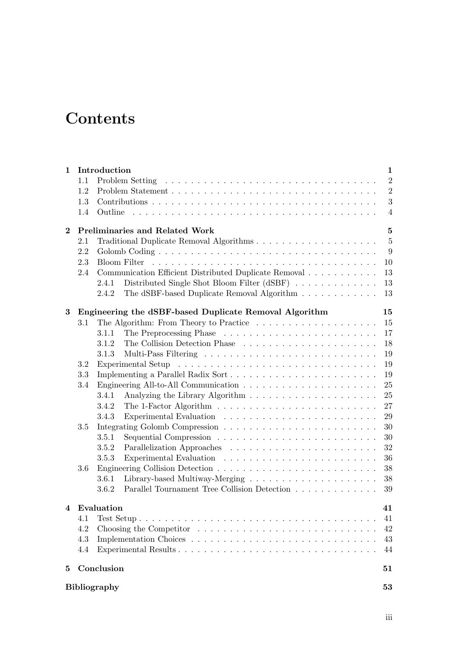# **Contents**

| $\mathbf 1$ |         | Introduction        |                                                        | $\mathbf{1}$     |
|-------------|---------|---------------------|--------------------------------------------------------|------------------|
|             | 1.1     |                     |                                                        | $\overline{2}$   |
|             | 1.2     |                     |                                                        | $\overline{2}$   |
|             | 1.3     |                     |                                                        | $\boldsymbol{3}$ |
|             | 1.4     | Outline             |                                                        | $\overline{4}$   |
| $\bf{2}$    |         |                     | <b>Preliminaries and Related Work</b>                  | $\mathbf{5}$     |
|             | 2.1     |                     |                                                        | $\overline{5}$   |
|             | 2.2     |                     |                                                        | 9                |
|             | 2.3     |                     |                                                        | 10               |
|             | 2.4     |                     | Communication Efficient Distributed Duplicate Removal  | 13               |
|             |         | 2.4.1               | Distributed Single Shot Bloom Filter (dSBF)            | 13               |
|             |         | 2.4.2               | The dSBF-based Duplicate Removal Algorithm             | 13               |
| 3           |         |                     | Engineering the dSBF-based Duplicate Removal Algorithm | 15               |
|             | 3.1     |                     |                                                        | 15               |
|             |         | 3.1.1               |                                                        | 17               |
|             |         | 3.1.2               |                                                        | 18               |
|             |         | 3.1.3               |                                                        | 19               |
|             | 3.2     |                     |                                                        | 19               |
|             | 3.3     |                     | Implementing a Parallel Radix Sort                     | 19               |
|             | 3.4     |                     |                                                        | 25               |
|             |         | 3.4.1               |                                                        | 25               |
|             |         | 3.4.2               |                                                        | 27               |
|             |         | 3.4.3               |                                                        | 29               |
|             | 3.5     |                     |                                                        | 30               |
|             |         | 3.5.1               |                                                        | 30               |
|             |         | 3.5.2               |                                                        | 32               |
|             |         | 3.5.3               |                                                        | 36               |
|             | $3.6\,$ |                     |                                                        | 38               |
|             |         | 3.6.1               |                                                        | 38               |
|             |         | 3.6.2               | Parallel Tournament Tree Collision Detection           | 39               |
| 4           |         | Evaluation          |                                                        | 41               |
|             | 4.1     |                     |                                                        | 41               |
|             | 4.2     |                     |                                                        | 42               |
|             | 4.3     |                     |                                                        | 43               |
|             | 4.4     |                     |                                                        | 44               |
| 5           |         | Conclusion          |                                                        | 51               |
|             |         | <b>Bibliography</b> |                                                        | 53               |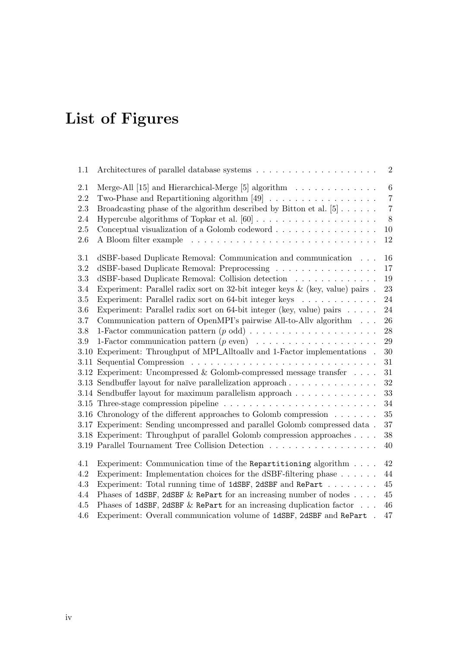# List of Figures

| 1.1        |                                                                                                                                                                              | $\overline{2}$            |
|------------|------------------------------------------------------------------------------------------------------------------------------------------------------------------------------|---------------------------|
| 2.1<br>2.2 | Merge-All [15] and Hierarchical-Merge [5] algorithm $\ldots \ldots \ldots \ldots$<br>Two-Phase and Repartitioning algorithm $[49] \ldots \ldots \ldots \ldots \ldots \ldots$ | $\,6\,$<br>$\overline{7}$ |
| 2.3        | Broadcasting phase of the algorithm described by Bitton et al. $[5]$                                                                                                         | $\sqrt{7}$                |
| 2.4        |                                                                                                                                                                              | $8\,$                     |
| 2.5        | Conceptual visualization of a Golomb codeword                                                                                                                                | $10\,$                    |
| $2.6\,$    |                                                                                                                                                                              | 12                        |
| 3.1        | dSBF-based Duplicate Removal: Communication and communication                                                                                                                | 16                        |
| 3.2        | dSBF-based Duplicate Removal: Preprocessing                                                                                                                                  | 17                        |
| 3.3        | dSBF-based Duplicate Removal: Collision detection                                                                                                                            | 19                        |
| 3.4        | Experiment: Parallel radix sort on 32-bit integer keys $\&$ (key, value) pairs.                                                                                              | 23                        |
| 3.5        | Experiment: Parallel radix sort on 64-bit integer keys $\dots \dots \dots \dots$                                                                                             | 24                        |
| 3.6        | Experiment: Parallel radix sort on 64-bit integer (key, value) pairs $\ldots$ .                                                                                              | 24                        |
| 3.7        | Communication pattern of OpenMPI's pairwise All-to-Ally algorithm                                                                                                            | 26                        |
| $3.8\,$    | 1-Factor communication pattern $(p \text{ odd}) \dots \dots \dots \dots \dots \dots \dots$                                                                                   | $28\,$                    |
| $3.9\,$    | 1-Factor communication pattern $(p \text{ even}) \dots \dots \dots \dots \dots \dots \dots$                                                                                  | $\,29$                    |
| 3.10       | Experiment: Throughput of MPLAlltoally and 1-Factor implementations .                                                                                                        | 30                        |
|            |                                                                                                                                                                              | 31                        |
|            | 3.12 Experiment: Uncompressed & Golomb-compressed message transfer $\ldots$ .                                                                                                | 31                        |
|            | 3.13 Sendbuffer layout for naïve parallelization approach                                                                                                                    | 32                        |
|            | 3.14 Sendbuffer layout for maximum parallelism approach                                                                                                                      | 33                        |
|            |                                                                                                                                                                              | 34                        |
|            | 3.16 Chronology of the different approaches to Golomb compression $\dots \dots$                                                                                              | $35\,$                    |
|            | 3.17 Experiment: Sending uncompressed and parallel Golomb compressed data.                                                                                                   | 37                        |
|            | 3.18 Experiment: Throughput of parallel Golomb compression approaches                                                                                                        | $38\,$                    |
|            | 3.19 Parallel Tournament Tree Collision Detection                                                                                                                            | 40                        |
| 4.1        | Experiment: Communication time of the Repartitioning algorithm                                                                                                               | 42                        |
| 4.2        | Experiment: Implementation choices for the dSBF-filtering phase $\ldots \ldots$                                                                                              | 44                        |
| 4.3        | Experiment: Total running time of 1dSBF, 2dSBF and RePart                                                                                                                    | $45\,$                    |
| 4.4        | Phases of 1dSBF, 2dSBF & RePart for an increasing number of nodes $\ldots$ .                                                                                                 | $45\,$                    |
| 4.5        | Phases of 1dSBF, 2dSBF & RePart for an increasing duplication factor $\ldots$                                                                                                | 46                        |
| 4.6        | Experiment: Overall communication volume of 1dSBF, 2dSBF and RePart .                                                                                                        | 47                        |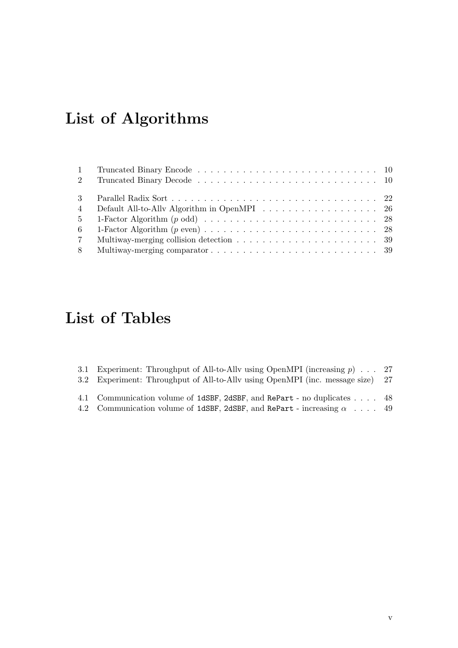# List of Algorithms

| $\overline{4}$ | Default All-to-Ally Algorithm in OpenMPI 26 |  |
|----------------|---------------------------------------------|--|
|                |                                             |  |
| 6              |                                             |  |
| $7\degree$     |                                             |  |
| 8              |                                             |  |

# List of Tables

| 3.1 Experiment: Throughput of All-to-Ally using OpenMPI (increasing $p$ ) 27<br>3.2 Experiment: Throughput of All-to-Ally using OpenMPI (inc. message size) 27 |  |
|----------------------------------------------------------------------------------------------------------------------------------------------------------------|--|
| 4.1 Communication volume of 1dSBF, 2dSBF, and RePart - no duplicates 48                                                                                        |  |

[4.2 Communication volume of](#page-56-0) 1dSBF, 2dSBF, and RePart - increasing  $\alpha$  .... 49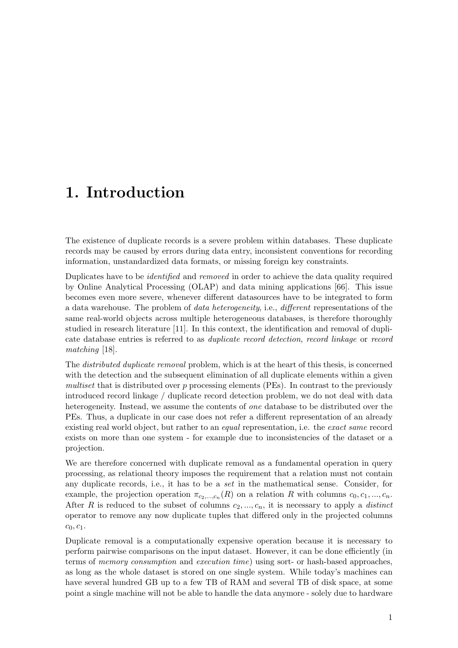## <span id="page-8-0"></span>1. Introduction

The existence of duplicate records is a severe problem within databases. These duplicate records may be caused by errors during data entry, inconsistent conventions for recording information, unstandardized data formats, or missing foreign key constraints.

Duplicates have to be identified and removed in order to achieve the data quality required by Online Analytical Processing (OLAP) and data mining applications [\[66\]](#page-64-0). This issue becomes even more severe, whenever different datasources have to be integrated to form a data warehouse. The problem of data heterogeneity, i.e., different representations of the same real-world objects across multiple heterogeneous databases, is therefore thoroughly studied in research literature [\[11\]](#page-60-1). In this context, the identification and removal of duplicate database entries is referred to as duplicate record detection, record linkage or record matching [\[18\]](#page-61-1).

The *distributed duplicate removal* problem, which is at the heart of this thesis, is concerned with the detection and the subsequent elimination of all duplicate elements within a given multiset that is distributed over p processing elements (PEs). In contrast to the previously introduced record linkage / duplicate record detection problem, we do not deal with data heterogeneity. Instead, we assume the contents of one database to be distributed over the PEs. Thus, a duplicate in our case does not refer a different representation of an already existing real world object, but rather to an *equal* representation, i.e. the exact same record exists on more than one system - for example due to inconsistencies of the dataset or a projection.

We are therefore concerned with duplicate removal as a fundamental operation in query processing, as relational theory imposes the requirement that a relation must not contain any duplicate records, i.e., it has to be a set in the mathematical sense. Consider, for example, the projection operation  $\pi_{c_2,...,c_n}(R)$  on a relation R with columns  $c_0, c_1, ..., c_n$ . After R is reduced to the subset of columns  $c_2, ..., c_n$ , it is necessary to apply a *distinct* operator to remove any now duplicate tuples that differed only in the projected columns  $c_0, c_1.$ 

Duplicate removal is a computationally expensive operation because it is necessary to perform pairwise comparisons on the input dataset. However, it can be done efficiently (in terms of memory consumption and execution time) using sort- or hash-based approaches, as long as the whole dataset is stored on one single system. While today's machines can have several hundred GB up to a few TB of RAM and several TB of disk space, at some point a single machine will not be able to handle the data anymore - solely due to hardware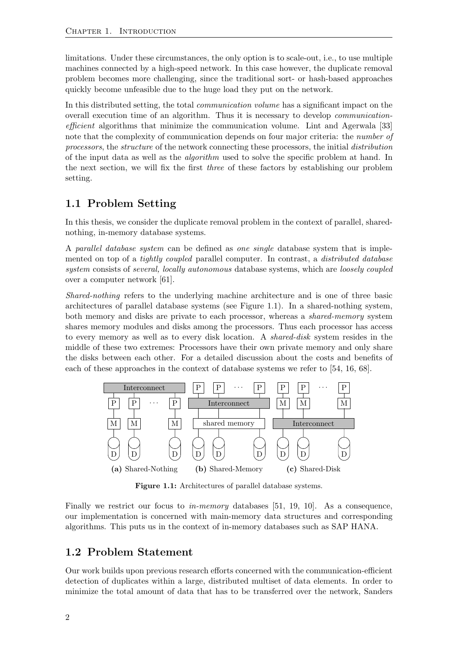limitations. Under these circumstances, the only option is to scale-out, i.e., to use multiple machines connected by a high-speed network. In this case however, the duplicate removal problem becomes more challenging, since the traditional sort- or hash-based approaches quickly become unfeasible due to the huge load they put on the network.

In this distributed setting, the total communication volume has a significant impact on the overall execution time of an algorithm. Thus it is necessary to develop communicationefficient algorithms that minimize the communication volume. Lint and Agerwala [\[33\]](#page-62-1) note that the complexity of communication depends on four major criteria: the *number of* processors, the structure of the network connecting these processors, the initial distribution of the input data as well as the algorithm used to solve the specific problem at hand. In the next section, we will fix the first three of these factors by establishing our problem setting.

## <span id="page-9-0"></span>1.1 Problem Setting

In this thesis, we consider the duplicate removal problem in the context of parallel, sharednothing, in-memory database systems.

A parallel database system can be defined as one single database system that is implemented on top of a *tightly coupled* parallel computer. In contrast, a *distributed database* system consists of *several, locally autonomous* database systems, which are *loosely coupled* over a computer network [\[61\]](#page-63-2).

Shared-nothing refers to the underlying machine architecture and is one of three basic architectures of parallel database systems (see Figure [1.1\)](#page-9-2). In a shared-nothing system, both memory and disks are private to each processor, whereas a shared-memory system shares memory modules and disks among the processors. Thus each processor has access to every memory as well as to every disk location. A shared-disk system resides in the middle of these two extremes: Processors have their own private memory and only share the disks between each other. For a detailed discussion about the costs and benefits of each of these approaches in the context of database systems we refer to [\[54,](#page-63-3) [16,](#page-61-2) [68\]](#page-64-1).

<span id="page-9-2"></span>

Figure 1.1: Architectures of parallel database systems.

Finally we restrict our focus to in-memory databases [\[51,](#page-63-4) [19,](#page-61-3) [10\]](#page-60-2). As a consequence, our implementation is concerned with main-memory data structures and corresponding algorithms. This puts us in the context of in-memory databases such as SAP HANA.

## <span id="page-9-1"></span>1.2 Problem Statement

Our work builds upon previous research efforts concerned with the communication-efficient detection of duplicates within a large, distributed multiset of data elements. In order to minimize the total amount of data that has to be transferred over the network, Sanders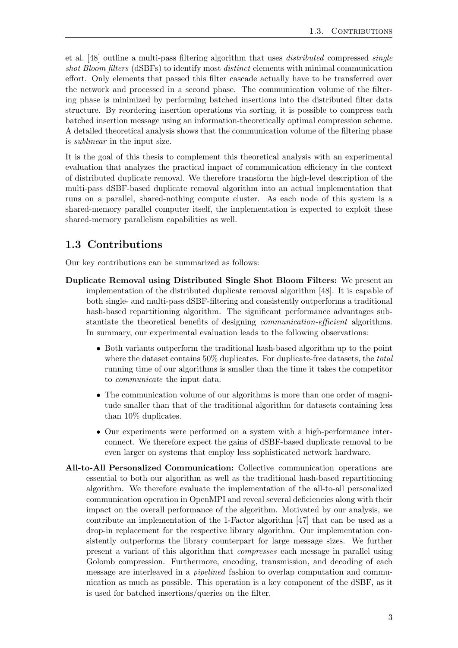et al. [\[48\]](#page-62-0) outline a multi-pass filtering algorithm that uses distributed compressed single shot Bloom filters (dSBFs) to identify most *distinct* elements with minimal communication effort. Only elements that passed this filter cascade actually have to be transferred over the network and processed in a second phase. The communication volume of the filtering phase is minimized by performing batched insertions into the distributed filter data structure. By reordering insertion operations via sorting, it is possible to compress each batched insertion message using an information-theoretically optimal compression scheme. A detailed theoretical analysis shows that the communication volume of the filtering phase is sublinear in the input size.

It is the goal of this thesis to complement this theoretical analysis with an experimental evaluation that analyzes the practical impact of communication efficiency in the context of distributed duplicate removal. We therefore transform the high-level description of the multi-pass dSBF-based duplicate removal algorithm into an actual implementation that runs on a parallel, shared-nothing compute cluster. As each node of this system is a shared-memory parallel computer itself, the implementation is expected to exploit these shared-memory parallelism capabilities as well.

### <span id="page-10-0"></span>1.3 Contributions

Our key contributions can be summarized as follows:

- Duplicate Removal using Distributed Single Shot Bloom Filters: We present an implementation of the distributed duplicate removal algorithm [\[48\]](#page-62-0). It is capable of both single- and multi-pass dSBF-filtering and consistently outperforms a traditional hash-based repartitioning algorithm. The significant performance advantages substantiate the theoretical benefits of designing communication-efficient algorithms. In summary, our experimental evaluation leads to the following observations:
	- Both variants outperform the traditional hash-based algorithm up to the point where the dataset contains  $50\%$  duplicates. For duplicate-free datasets, the *total* running time of our algorithms is smaller than the time it takes the competitor to communicate the input data.
	- The communication volume of our algorithms is more than one order of magnitude smaller than that of the traditional algorithm for datasets containing less than 10% duplicates.
	- Our experiments were performed on a system with a high-performance interconnect. We therefore expect the gains of dSBF-based duplicate removal to be even larger on systems that employ less sophisticated network hardware.
- All-to-All Personalized Communication: Collective communication operations are essential to both our algorithm as well as the traditional hash-based repartitioning algorithm. We therefore evaluate the implementation of the all-to-all personalized communication operation in OpenMPI and reveal several deficiencies along with their impact on the overall performance of the algorithm. Motivated by our analysis, we contribute an implementation of the 1-Factor algorithm [\[47\]](#page-62-2) that can be used as a drop-in replacement for the respective library algorithm. Our implementation consistently outperforms the library counterpart for large message sizes. We further present a variant of this algorithm that compresses each message in parallel using Golomb compression. Furthermore, encoding, transmission, and decoding of each message are interleaved in a pipelined fashion to overlap computation and communication as much as possible. This operation is a key component of the dSBF, as it is used for batched insertions/queries on the filter.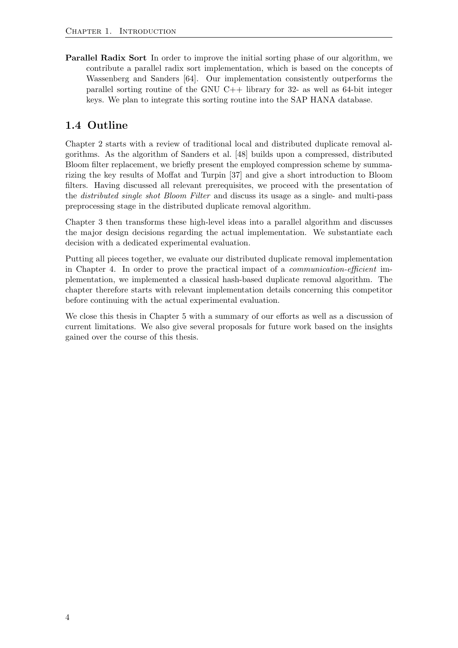Parallel Radix Sort In order to improve the initial sorting phase of our algorithm, we contribute a parallel radix sort implementation, which is based on the concepts of Wassenberg and Sanders [\[64\]](#page-63-5). Our implementation consistently outperforms the parallel sorting routine of the GNU  $C++$  library for 32- as well as 64-bit integer keys. We plan to integrate this sorting routine into the SAP HANA database.

## <span id="page-11-0"></span>1.4 Outline

Chapter 2 starts with a review of traditional local and distributed duplicate removal algorithms. As the algorithm of Sanders et al. [\[48\]](#page-62-0) builds upon a compressed, distributed Bloom filter replacement, we briefly present the employed compression scheme by summarizing the key results of Moffat and Turpin [\[37\]](#page-62-3) and give a short introduction to Bloom filters. Having discussed all relevant prerequisites, we proceed with the presentation of the distributed single shot Bloom Filter and discuss its usage as a single- and multi-pass preprocessing stage in the distributed duplicate removal algorithm.

Chapter 3 then transforms these high-level ideas into a parallel algorithm and discusses the major design decisions regarding the actual implementation. We substantiate each decision with a dedicated experimental evaluation.

Putting all pieces together, we evaluate our distributed duplicate removal implementation in Chapter 4. In order to prove the practical impact of a communication-efficient implementation, we implemented a classical hash-based duplicate removal algorithm. The chapter therefore starts with relevant implementation details concerning this competitor before continuing with the actual experimental evaluation.

We close this thesis in Chapter 5 with a summary of our efforts as well as a discussion of current limitations. We also give several proposals for future work based on the insights gained over the course of this thesis.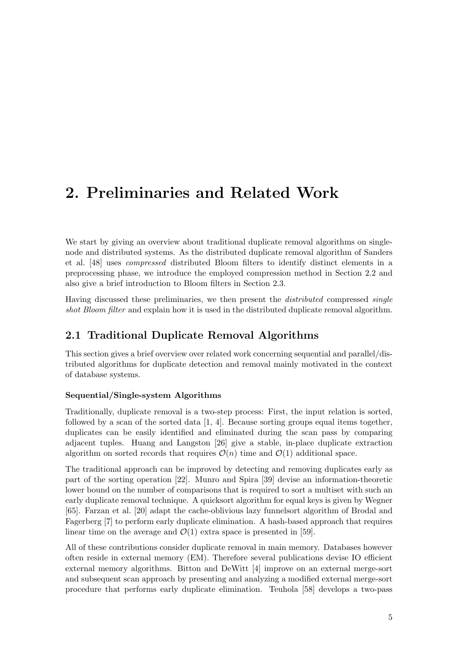## <span id="page-12-0"></span>2. Preliminaries and Related Work

We start by giving an overview about traditional duplicate removal algorithms on singlenode and distributed systems. As the distributed duplicate removal algorithm of Sanders et al. [\[48\]](#page-62-0) uses compressed distributed Bloom filters to identify distinct elements in a preprocessing phase, we introduce the employed compression method in Section [2.2](#page-16-0) and also give a brief introduction to Bloom filters in Section [2.3.](#page-17-0)

Having discussed these preliminaries, we then present the *distributed* compressed *single* shot Bloom filter and explain how it is used in the distributed duplicate removal algorithm.

## <span id="page-12-1"></span>2.1 Traditional Duplicate Removal Algorithms

This section gives a brief overview over related work concerning sequential and parallel/distributed algorithms for duplicate detection and removal mainly motivated in the context of database systems.

#### <span id="page-12-2"></span>Sequential/Single-system Algorithms

Traditionally, duplicate removal is a two-step process: First, the input relation is sorted, followed by a scan of the sorted data [\[1,](#page-60-3) [4\]](#page-60-4). Because sorting groups equal items together, duplicates can be easily identified and eliminated during the scan pass by comparing adjacent tuples. Huang and Langston [\[26\]](#page-61-4) give a stable, in-place duplicate extraction algorithm on sorted records that requires  $\mathcal{O}(n)$  time and  $\mathcal{O}(1)$  additional space.

The traditional approach can be improved by detecting and removing duplicates early as part of the sorting operation [\[22\]](#page-61-5). Munro and Spira [\[39\]](#page-62-4) devise an information-theoretic lower bound on the number of comparisons that is required to sort a multiset with such an early duplicate removal technique. A quicksort algorithm for equal keys is given by Wegner [\[65\]](#page-63-6). Farzan et al. [\[20\]](#page-61-6) adapt the cache-oblivious lazy funnelsort algorithm of Brodal and Fagerberg [\[7\]](#page-60-5) to perform early duplicate elimination. A hash-based approach that requires linear time on the average and  $\mathcal{O}(1)$  extra space is presented in [\[59\]](#page-63-7).

All of these contributions consider duplicate removal in main memory. Databases however often reside in external memory (EM). Therefore several publications devise IO efficient external memory algorithms. Bitton and DeWitt [\[4\]](#page-60-4) improve on an external merge-sort and subsequent scan approach by presenting and analyzing a modified external merge-sort procedure that performs early duplicate elimination. Teuhola [\[58\]](#page-63-8) develops a two-pass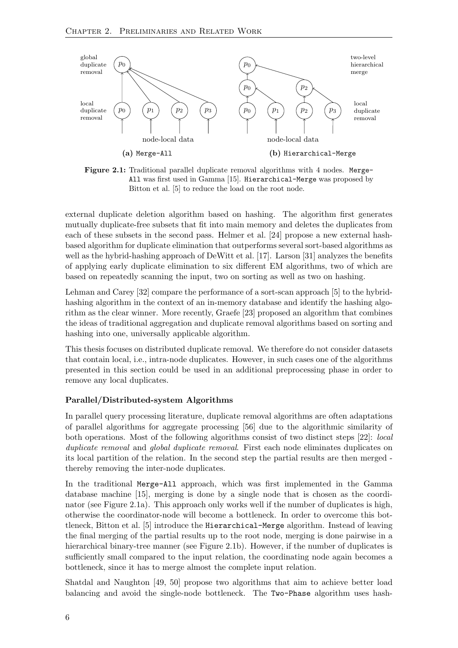<span id="page-13-0"></span>

Figure 2.1: Traditional parallel duplicate removal algorithms with 4 nodes. Merge-All was first used in Gamma [\[15\]](#page-61-0). Hierarchical-Merge was proposed by Bitton et al. [\[5\]](#page-60-0) to reduce the load on the root node.

external duplicate deletion algorithm based on hashing. The algorithm first generates mutually duplicate-free subsets that fit into main memory and deletes the duplicates from each of these subsets in the second pass. Helmer et al. [\[24\]](#page-61-7) propose a new external hashbased algorithm for duplicate elimination that outperforms several sort-based algorithms as well as the hybrid-hashing approach of DeWitt et al. [\[17\]](#page-61-8). Larson [\[31\]](#page-61-9) analyzes the benefits of applying early duplicate elimination to six different EM algorithms, two of which are based on repeatedly scanning the input, two on sorting as well as two on hashing.

Lehman and Carey [\[32\]](#page-62-5) compare the performance of a sort-scan approach [\[5\]](#page-60-0) to the hybridhashing algorithm in the context of an in-memory database and identify the hashing algorithm as the clear winner. More recently, Graefe [\[23\]](#page-61-10) proposed an algorithm that combines the ideas of traditional aggregation and duplicate removal algorithms based on sorting and hashing into one, universally applicable algorithm.

This thesis focuses on distributed duplicate removal. We therefore do not consider datasets that contain local, i.e., intra-node duplicates. However, in such cases one of the algorithms presented in this section could be used in an additional preprocessing phase in order to remove any local duplicates.

#### Parallel/Distributed-system Algorithms

In parallel query processing literature, duplicate removal algorithms are often adaptations of parallel algorithms for aggregate processing [\[56\]](#page-63-9) due to the algorithmic similarity of both operations. Most of the following algorithms consist of two distinct steps [\[22\]](#page-61-5): local duplicate removal and global duplicate removal. First each node eliminates duplicates on its local partition of the relation. In the second step the partial results are then merged thereby removing the inter-node duplicates.

In the traditional Merge-All approach, which was first implemented in the Gamma database machine [\[15\]](#page-61-0), merging is done by a single node that is chosen as the coordinator (see Figure [2.1a](#page-13-0)). This approach only works well if the number of duplicates is high, otherwise the coordinator-node will become a bottleneck. In order to overcome this bottleneck, Bitton et al. [\[5\]](#page-60-0) introduce the Hierarchical-Merge algorithm. Instead of leaving the final merging of the partial results up to the root node, merging is done pairwise in a hierarchical binary-tree manner (see Figure [2.1b](#page-13-0)). However, if the number of duplicates is sufficiently small compared to the input relation, the coordinating node again becomes a bottleneck, since it has to merge almost the complete input relation.

Shatdal and Naughton [\[49,](#page-63-0) [50\]](#page-63-10) propose two algorithms that aim to achieve better load balancing and avoid the single-node bottleneck. The Two-Phase algorithm uses hash-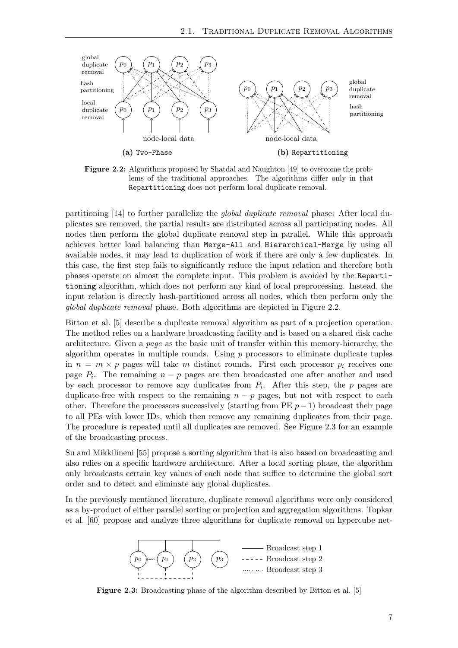<span id="page-14-0"></span>

Figure 2.2: Algorithms proposed by Shatdal and Naughton [\[49\]](#page-63-0) to overcome the problems of the traditional approaches. The algorithms differ only in that Repartitioning does not perform local duplicate removal.

partitioning [\[14\]](#page-61-11) to further parallelize the global duplicate removal phase: After local duplicates are removed, the partial results are distributed across all participating nodes. All nodes then perform the global duplicate removal step in parallel. While this approach achieves better load balancing than Merge-All and Hierarchical-Merge by using all available nodes, it may lead to duplication of work if there are only a few duplicates. In this case, the first step fails to significantly reduce the input relation and therefore both phases operate on almost the complete input. This problem is avoided by the Repartitioning algorithm, which does not perform any kind of local preprocessing. Instead, the input relation is directly hash-partitioned across all nodes, which then perform only the global duplicate removal phase. Both algorithms are depicted in Figure [2.2.](#page-14-0)

Bitton et al. [\[5\]](#page-60-0) describe a duplicate removal algorithm as part of a projection operation. The method relies on a hardware broadcasting facility and is based on a shared disk cache architecture. Given a page as the basic unit of transfer within this memory-hierarchy, the algorithm operates in multiple rounds. Using  $p$  processors to eliminate duplicate tuples in  $n = m \times p$  pages will take m distinct rounds. First each processor  $p_i$  receives one page  $P_i$ . The remaining  $n - p$  pages are then broadcasted one after another and used by each processor to remove any duplicates from  $P_i$ . After this step, the p pages are duplicate-free with respect to the remaining  $n - p$  pages, but not with respect to each other. Therefore the processors successively (starting from PE  $p-1$ ) broadcast their page to all PEs with lower IDs, which then remove any remaining duplicates from their page. The procedure is repeated until all duplicates are removed. See Figure [2.3](#page-14-1) for an example of the broadcasting process.

Su and Mikkilineni [\[55\]](#page-63-11) propose a sorting algorithm that is also based on broadcasting and also relies on a specific hardware architecture. After a local sorting phase, the algorithm only broadcasts certain key values of each node that suffice to determine the global sort order and to detect and eliminate any global duplicates.

<span id="page-14-1"></span>In the previously mentioned literature, duplicate removal algorithms were only considered as a by-product of either parallel sorting or projection and aggregation algorithms. Topkar et al. [\[60\]](#page-63-1) propose and analyze three algorithms for duplicate removal on hypercube net-



Figure 2.3: Broadcasting phase of the algorithm described by Bitton et al. [\[5\]](#page-60-0)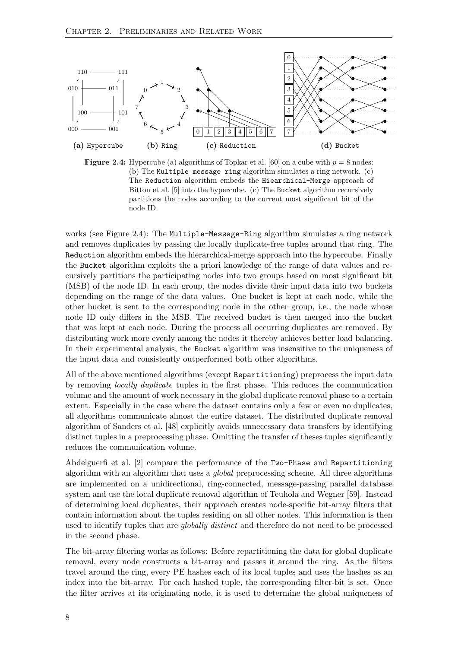<span id="page-15-0"></span>

**Figure 2.4:** Hypercube (a) algorithms of Topkar et al. [\[60\]](#page-63-1) on a cube with  $p = 8$  nodes: (b) The Multiple message ring algorithm simulates a ring network. (c) The Reduction algorithm embeds the Hiearchical-Merge approach of Bitton et al. [\[5\]](#page-60-0) into the hypercube. (c) The Bucket algorithm recursively partitions the nodes according to the current most significant bit of the node ID.

works (see Figure [2.4\)](#page-15-0): The Multiple-Message-Ring algorithm simulates a ring network and removes duplicates by passing the locally duplicate-free tuples around that ring. The Reduction algorithm embeds the hierarchical-merge approach into the hypercube. Finally the Bucket algorithm exploits the a priori knowledge of the range of data values and recursively partitions the participating nodes into two groups based on most significant bit (MSB) of the node ID. In each group, the nodes divide their input data into two buckets depending on the range of the data values. One bucket is kept at each node, while the other bucket is sent to the corresponding node in the other group, i.e., the node whose node ID only differs in the MSB. The received bucket is then merged into the bucket that was kept at each node. During the process all occurring duplicates are removed. By distributing work more evenly among the nodes it thereby achieves better load balancing. In their experimental analysis, the Bucket algorithm was insensitive to the uniqueness of the input data and consistently outperformed both other algorithms.

All of the above mentioned algorithms (except Repartitioning) preprocess the input data by removing locally duplicate tuples in the first phase. This reduces the communication volume and the amount of work necessary in the global duplicate removal phase to a certain extent. Especially in the case where the dataset contains only a few or even no duplicates, all algorithms communicate almost the entire dataset. The distributed duplicate removal algorithm of Sanders et al. [\[48\]](#page-62-0) explicitly avoids unnecessary data transfers by identifying distinct tuples in a preprocessing phase. Omitting the transfer of theses tuples significantly reduces the communication volume.

Abdelguerfi et al. [\[2\]](#page-60-6) compare the performance of the Two-Phase and Repartitioning algorithm with an algorithm that uses a global preprocessing scheme. All three algorithms are implemented on a unidirectional, ring-connected, message-passing parallel database system and use the local duplicate removal algorithm of Teuhola and Wegner [\[59\]](#page-63-7). Instead of determining local duplicates, their approach creates node-specific bit-array filters that contain information about the tuples residing on all other nodes. This information is then used to identify tuples that are *globally distinct* and therefore do not need to be processed in the second phase.

The bit-array filtering works as follows: Before repartitioning the data for global duplicate removal, every node constructs a bit-array and passes it around the ring. As the filters travel around the ring, every PE hashes each of its local tuples and uses the hashes as an index into the bit-array. For each hashed tuple, the corresponding filter-bit is set. Once the filter arrives at its originating node, it is used to determine the global uniqueness of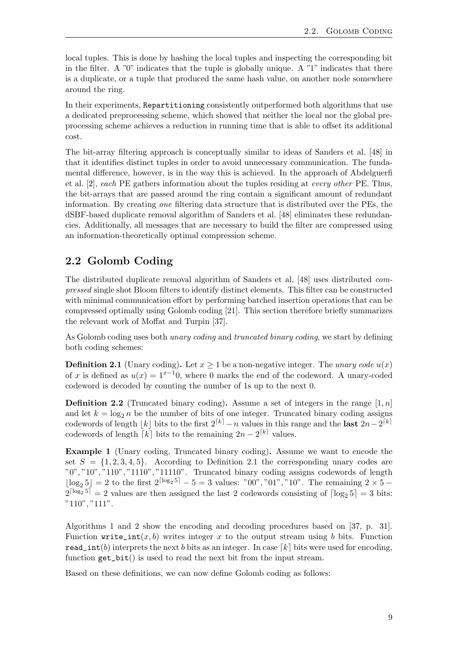local tuples. This is done by hashing the local tuples and inspecting the corresponding bit in the filter. A "0" indicates that the tuple is globally unique. A "1" indicates that there is a duplicate, or a tuple that produced the same hash value, on another node somewhere around the ring.

In their experiments, Repartitioning consistently outperformed both algorithms that use a dedicated preprocessing scheme, which showed that neither the local nor the global preprocessing scheme achieves a reduction in running time that is able to offset its additional cost.

The bit-array filtering approach is conceptually similar to ideas of Sanders et al. [\[48\]](#page-62-0) in that it identifies distinct tuples in order to avoid unnecessary communication. The fundamental difference, however, is in the way this is achieved. In the approach of Abdelguerfi et al. [\[2\]](#page-60-6), each PE gathers information about the tuples residing at every other PE. Thus, the bit-arrays that are passed around the ring contain a significant amount of redundant information. By creating one filtering data structure that is distributed over the PEs, the dSBF-based duplicate removal algorithm of Sanders et al. [\[48\]](#page-62-0) eliminates these redundancies. Additionally, all messages that are necessary to build the filter are compressed using an information-theoretically optimal compression scheme.

## <span id="page-16-0"></span>2.2 Golomb Coding

The distributed duplicate removal algorithm of Sanders et al. [\[48\]](#page-62-0) uses distributed compressed single shot Bloom filters to identify distinct elements. This filter can be constructed with minimal communication effort by performing batched insertion operations that can be compressed optimally using Golomb coding [\[21\]](#page-61-12). This section therefore briefly summarizes the relevant work of Moffat and Turpin [\[37\]](#page-62-3).

As Golomb coding uses both unary coding and truncated binary coding, we start by defining both coding schemes:

<span id="page-16-1"></span>**Definition 2.1** (Unary coding). Let  $x \ge 1$  be a non-negative integer. The unary code  $u(x)$ of x is defined as  $u(x) = 1^{x-1}0$ , where 0 marks the end of the codeword. A unary-coded codeword is decoded by counting the number of 1s up to the next 0.

**Definition 2.2** (Truncated binary coding). Assume a set of integers in the range  $[1, n]$ and let  $k = \log_2 n$  be the number of bits of one integer. Truncated binary coding assigns codewords of length |k| bits to the first  $2^{[k]} - n$  values in this range and the last  $2n-2^{[k]}$ codewords of length  $\lceil k \rceil$  bits to the remaining  $2n - 2^{\lceil k \rceil}$  values.

Example 1 (Unary coding, Truncated binary coding). Assume we want to encode the set  $S = \{1, 2, 3, 4, 5\}$ . According to Definition [2.1](#page-16-1) the corresponding unary codes are "0", "10", "110", "1110", "11110". Truncated binary coding assigns codewords of length  $|\log_2 5| = 2$  to the first  $2^{\lceil \log_2 5 \rceil} - 5 = 3$  values: "00", "01", "10". The remaining  $2 \times 5 2^{\lceil \log_2 5 \rceil} = 2$  values are then assigned the last 2 codewords consisting of  $\lceil \log_2 5 \rceil = 3$  bits: "110", "111".

Algorithms [1](#page-17-2) and [2](#page-17-2) show the encoding and decoding procedures based on [\[37,](#page-62-3) p. 31]. Function write\_int $(x, b)$  writes integer x to the output stream using b bits. Function read\_int(b) interprets the next b bits as an integer. In case [k] bits were used for encoding, function  $get\_bit()$  is used to read the next bit from the input stream.

Based on these definitions, we can now define Golomb coding as follows: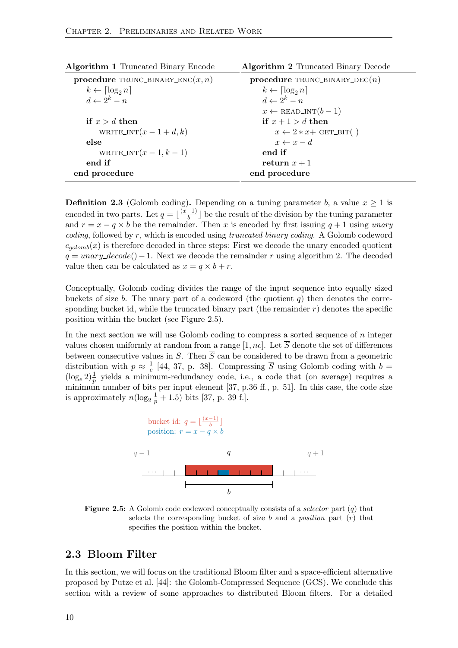<span id="page-17-2"></span>

| <b>Algorithm 1 Truncated Binary Encode</b> | Algorithm 2 Truncated Binary Decode           |
|--------------------------------------------|-----------------------------------------------|
| procedure TRUNC_BINARY_ENC $(x, n)$        | procedure TRUNC_BINARY_DEC( $n$ )             |
| $k \leftarrow \lceil \log_2 n \rceil$      | $k \leftarrow \lceil \log_2 n \rceil$         |
| $d \leftarrow 2^k - n$                     | $d \leftarrow 2^k - n$                        |
|                                            | $x \leftarrow \text{READ\_INT}(b-1)$          |
| if $x > d$ then                            | if $x+1 > d$ then                             |
| WRITE_INT $(x-1+d, k)$                     | $x \leftarrow 2 \cdot x + \text{GET\_BIT( )}$ |
| else                                       | $x \leftarrow x - d$                          |
| WRITE_INT $(x-1, k-1)$                     | end if                                        |
| end if                                     | return $x+1$                                  |
| end procedure                              | end procedure                                 |
|                                            |                                               |

**Definition 2.3** (Golomb coding). Depending on a tuning parameter b, a value  $x \geq 1$  is encoded in two parts. Let  $q = \frac{x-1}{b}$  $\frac{-1}{b}$  be the result of the division by the tuning parameter and  $r = x - q \times b$  be the remainder. Then x is encoded by first issuing  $q + 1$  using unary coding, followed by r, which is encoded using truncated binary coding. A Golomb codeword  $c_{\text{solomb}}(x)$  is therefore decoded in three steps: First we decode the unary encoded quotient  $q = unary\_decode() - 1$ . Next we decode the remainder r using algorithm [2.](#page-17-2) The decoded value then can be calculated as  $x = q \times b + r$ .

Conceptually, Golomb coding divides the range of the input sequence into equally sized buckets of size b. The unary part of a codeword (the quotient  $q$ ) then denotes the corresponding bucket id, while the truncated binary part (the remainder  $r$ ) denotes the specific position within the bucket (see Figure [2.5\)](#page-17-1).

In the next section we will use Golomb coding to compress a sorted sequence of  $n$  integer values chosen uniformly at random from a range [1, nc]. Let  $\overline{S}$  denote the set of differences between consecutive values in S. Then  $\overline{S}$  can be considered to be drawn from a geometric distribution with  $p \approx \frac{1}{c}$  $\frac{1}{c}$  [\[44,](#page-62-6) [37,](#page-62-3) p. 38]. Compressing S using Golomb coding with  $b =$  $(\log_e 2)^{\frac{1}{p}}$  yields a minimum-redundancy code, i.e., a code that (on average) requires a minimum number of bits per input element [\[37,](#page-62-3) p.36 ff., p. 51]. In this case, the code size is approximately  $n(\log_2 \frac{1}{p} + 1.5)$  bits [\[37,](#page-62-3) p. 39 f.].

<span id="page-17-1"></span>

**Figure 2.5:** A Golomb code codeword conceptually consists of a *selector* part  $(q)$  that selects the corresponding bucket of size b and a *position* part  $(r)$  that specifies the position within the bucket.

#### <span id="page-17-0"></span>2.3 Bloom Filter

In this section, we will focus on the traditional Bloom filter and a space-efficient alternative proposed by Putze et al. [\[44\]](#page-62-6): the Golomb-Compressed Sequence (GCS). We conclude this section with a review of some approaches to distributed Bloom filters. For a detailed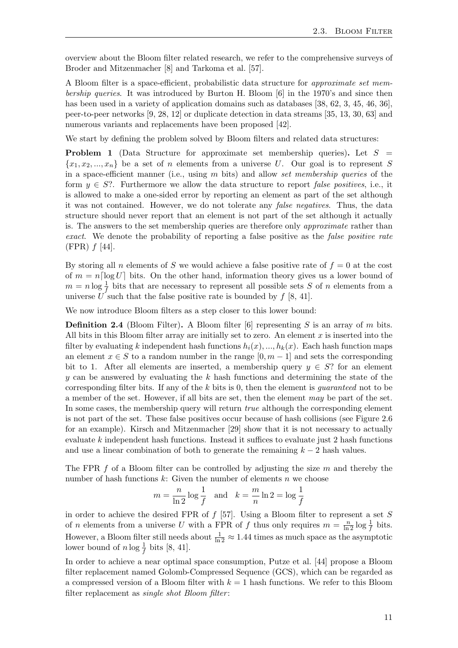overview about the Bloom filter related research, we refer to the comprehensive surveys of Broder and Mitzenmacher [\[8\]](#page-60-7) and Tarkoma et al. [\[57\]](#page-63-12).

A Bloom filter is a space-efficient, probabilistic data structure for approximate set membership queries. It was introduced by Burton H. Bloom [\[6\]](#page-60-8) in the 1970's and since then has been used in a variety of application domains such as databases [\[38,](#page-62-7) [62,](#page-63-13) [3,](#page-60-9) [45,](#page-62-8) [46,](#page-62-9) [36\]](#page-62-10), peer-to-peer networks [\[9,](#page-60-10) [28,](#page-61-13) [12\]](#page-60-11) or duplicate detection in data streams [\[35,](#page-62-11) [13,](#page-60-12) [30,](#page-61-14) [63\]](#page-63-14) and numerous variants and replacements have been proposed [\[42\]](#page-62-12).

We start by defining the problem solved by Bloom filters and related data structures:

**Problem 1** (Data Structure for approximate set membership queries). Let  $S =$  $\{x_1, x_2, ..., x_n\}$  be a set of n elements from a universe U. Our goal is to represent S in a space-efficient manner (i.e., using  $m$  bits) and allow set membership queries of the form  $y \in S$ ?. Furthermore we allow the data structure to report *false positives*, i.e., it is allowed to make a one-sided error by reporting an element as part of the set although it was not contained. However, we do not tolerate any false negatives. Thus, the data structure should never report that an element is not part of the set although it actually is. The answers to the set membership queries are therefore only approximate rather than exact. We denote the probability of reporting a false positive as the *false positive rate*  $(FPR) f [44].$  $(FPR) f [44].$  $(FPR) f [44].$ 

By storing all n elements of S we would achieve a false positive rate of  $f = 0$  at the cost of  $m = n \log U$  bits. On the other hand, information theory gives us a lower bound of  $m = n \log \frac{1}{f}$  bits that are necessary to represent all possible sets S of n elements from a universe U such that the false positive rate is bounded by  $f$  [\[8,](#page-60-7) [41\]](#page-62-13).

We now introduce Bloom filters as a step closer to this lower bound:

**Definition 2.4** (Bloom Filter). A Bloom filter  $[6]$  representing S is an array of m bits. All bits in this Bloom filter array are initially set to zero. An element  $x$  is inserted into the filter by evaluating k independent hash functions  $h_i(x),..., h_k(x)$ . Each hash function maps an element  $x \in S$  to a random number in the range  $[0, m-1]$  and sets the corresponding bit to 1. After all elements are inserted, a membership query  $y \in S$ ? for an element y can be answered by evaluating the  $k$  hash functions and determining the state of the corresponding filter bits. If any of the  $k$  bits is 0, then the element is *guaranteed* not to be a member of the set. However, if all bits are set, then the element may be part of the set. In some cases, the membership query will return *true* although the corresponding element is not part of the set. These false positives occur because of hash collisions (see Figure [2.6](#page-19-0) for an example). Kirsch and Mitzenmacher [\[29\]](#page-61-15) show that it is not necessary to actually evaluate  $k$  independent hash functions. Instead it suffices to evaluate just 2 hash functions and use a linear combination of both to generate the remaining  $k - 2$  hash values.

The FPR  $f$  of a Bloom filter can be controlled by adjusting the size  $m$  and thereby the number of hash functions  $k$ : Given the number of elements  $n$  we choose

$$
m = \frac{n}{\ln 2} \log \frac{1}{f} \quad \text{and} \quad k = \frac{m}{n} \ln 2 = \log \frac{1}{f}
$$

in order to achieve the desired FPR of  $f$  [\[57\]](#page-63-12). Using a Bloom filter to represent a set  $S$ of *n* elements from a universe U with a FPR of f thus only requires  $m = \frac{n}{\ln 2} \log \frac{1}{f}$  bits. However, a Bloom filter still needs about  $\frac{1}{\ln 2} \approx 1.44$  times as much space as the asymptotic lower bound of  $n \log \frac{1}{f}$  bits [\[8,](#page-60-7) [41\]](#page-62-13).

In order to achieve a near optimal space consumption, Putze et al. [\[44\]](#page-62-6) propose a Bloom filter replacement named Golomb-Compressed Sequence (GCS), which can be regarded as a compressed version of a Bloom filter with  $k = 1$  hash functions. We refer to this Bloom filter replacement as *single shot Bloom filter*: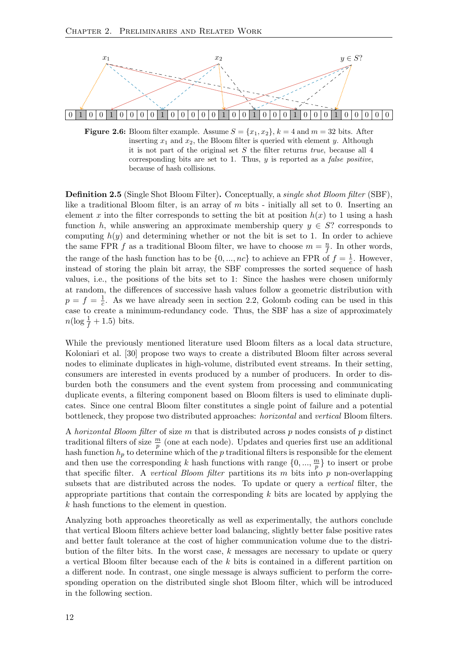<span id="page-19-0"></span>

**Figure 2.6:** Bloom filter example. Assume  $S = \{x_1, x_2\}$ ,  $k = 4$  and  $m = 32$  bits. After inserting  $x_1$  and  $x_2$ , the Bloom filter is queried with element y. Although it is not part of the original set  $S$  the filter returns *true*, because all  $4$ corresponding bits are set to 1. Thus,  $y$  is reported as a *false positive*, because of hash collisions.

Definition 2.5 (Single Shot Bloom Filter). Conceptually, a single shot Bloom filter (SBF), like a traditional Bloom filter, is an array of m bits - initially all set to 0. Inserting an element x into the filter corresponds to setting the bit at position  $h(x)$  to 1 using a hash function h, while answering an approximate membership query  $y \in S$ ? corresponds to computing  $h(y)$  and determining whether or not the bit is set to 1. In order to achieve the same FPR f as a traditional Bloom filter, we have to choose  $m = \frac{n}{f}$  $\frac{n}{f}$ . In other words, the range of the hash function has to be  $\{0, ..., nc\}$  to achieve an FPR of  $f = \frac{1}{c}$  $\frac{1}{c}$ . However, instead of storing the plain bit array, the SBF compresses the sorted sequence of hash values, i.e., the positions of the bits set to 1: Since the hashes were chosen uniformly at random, the differences of successive hash values follow a geometric distribution with  $p = f = \frac{1}{c}$  $\frac{1}{c}$ . As we have already seen in section [2.2,](#page-16-0) Golomb coding can be used in this case to create a minimum-redundancy code. Thus, the SBF has a size of approximately  $n(\log \frac{1}{f} + 1.5)$  bits.

While the previously mentioned literature used Bloom filters as a local data structure, Koloniari et al. [\[30\]](#page-61-14) propose two ways to create a distributed Bloom filter across several nodes to eliminate duplicates in high-volume, distributed event streams. In their setting, consumers are interested in events produced by a number of producers. In order to disburden both the consumers and the event system from processing and communicating duplicate events, a filtering component based on Bloom filters is used to eliminate duplicates. Since one central Bloom filter constitutes a single point of failure and a potential bottleneck, they propose two distributed approaches: horizontal and vertical Bloom filters.

A horizontal Bloom filter of size m that is distributed across p nodes consists of p distinct traditional filters of size  $\frac{m}{p}$  (one at each node). Updates and queries first use an additional hash function  $h_p$  to determine which of the p traditional filters is responsible for the element and then use the corresponding k hash functions with range  $\{0, ..., \frac{m}{n}\}$  $\frac{m}{p}$  to insert or probe that specific filter. A vertical Bloom filter partitions its  $m$  bits into  $p$  non-overlapping subsets that are distributed across the nodes. To update or query a vertical filter, the appropriate partitions that contain the corresponding  $k$  bits are located by applying the k hash functions to the element in question.

Analyzing both approaches theoretically as well as experimentally, the authors conclude that vertical Bloom filters achieve better load balancing, slightly better false positive rates and better fault tolerance at the cost of higher communication volume due to the distribution of the filter bits. In the worst case,  $k$  messages are necessary to update or query a vertical Bloom filter because each of the k bits is contained in a different partition on a different node. In contrast, one single message is always sufficient to perform the corresponding operation on the distributed single shot Bloom filter, which will be introduced in the following section.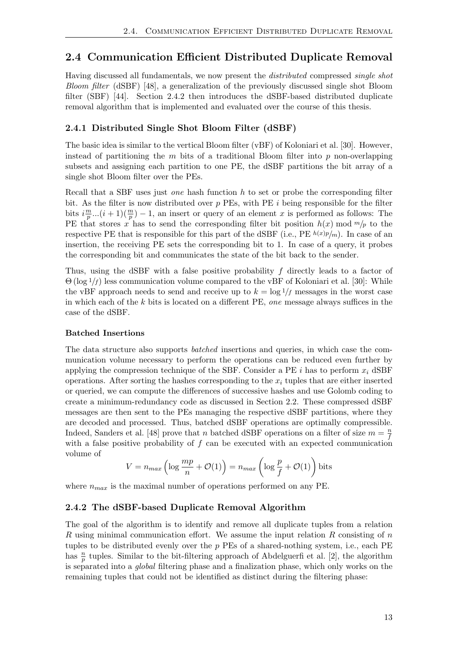### <span id="page-20-0"></span>2.4 Communication Efficient Distributed Duplicate Removal

Having discussed all fundamentals, we now present the distributed compressed single shot Bloom filter (dSBF) [\[48\]](#page-62-0), a generalization of the previously discussed single shot Bloom filter (SBF) [\[44\]](#page-62-6). Section [2.4.2](#page-20-2) then introduces the dSBF-based distributed duplicate removal algorithm that is implemented and evaluated over the course of this thesis.

#### <span id="page-20-1"></span>2.4.1 Distributed Single Shot Bloom Filter (dSBF)

The basic idea is similar to the vertical Bloom filter (vBF) of Koloniari et al. [\[30\]](#page-61-14). However, instead of partitioning the  $m$  bits of a traditional Bloom filter into  $p$  non-overlapping subsets and assigning each partition to one PE, the dSBF partitions the bit array of a single shot Bloom filter over the PEs.

Recall that a SBF uses just *one* hash function  $h$  to set or probe the corresponding filter bit. As the filter is now distributed over  $p$  PEs, with PE  $i$  being responsible for the filter bits  $i \frac{m}{n}$  $\frac{m}{p}$ ... $(i+1)(\frac{m}{p})-1$ , an insert or query of an element x is performed as follows: The PE that stores x has to send the corresponding filter bit position  $h(x) \mod m/p$  to the respective PE that is responsible for this part of the dSBF (i.e., PE  $h(x)p/m$ ). In case of an insertion, the receiving PE sets the corresponding bit to 1. In case of a query, it probes the corresponding bit and communicates the state of the bit back to the sender.

Thus, using the dSBF with a false positive probability f directly leads to a factor of  $\Theta(\log 1/f)$  less communication volume compared to the vBF of Koloniari et al. [\[30\]](#page-61-14): While the vBF approach needs to send and receive up to  $k = \log 1/f$  messages in the worst case in which each of the  $k$  bits is located on a different PE, *one* message always suffices in the case of the dSBF.

#### Batched Insertions

The data structure also supports batched insertions and queries, in which case the communication volume necessary to perform the operations can be reduced even further by applying the compression technique of the SBF. Consider a PE i has to perform  $x_i$  dSBF operations. After sorting the hashes corresponding to the  $x_i$  tuples that are either inserted or queried, we can compute the differences of successive hashes and use Golomb coding to create a minimum-redundancy code as discussed in Section [2.2.](#page-16-0) These compressed dSBF messages are then sent to the PEs managing the respective dSBF partitions, where they are decoded and processed. Thus, batched dSBF operations are optimally compressible. Indeed, Sanders et al. [\[48\]](#page-62-0) prove that n batched dSBF operations on a filter of size  $m = \frac{n}{f}$ f with a false positive probability of  $f$  can be executed with an expected communication volume of

$$
V = n_{max} \left( \log \frac{mp}{n} + \mathcal{O}(1) \right) = n_{max} \left( \log \frac{p}{f} + \mathcal{O}(1) \right) \text{bits}
$$

where  $n_{max}$  is the maximal number of operations performed on any PE.

#### <span id="page-20-2"></span>2.4.2 The dSBF-based Duplicate Removal Algorithm

The goal of the algorithm is to identify and remove all duplicate tuples from a relation R using minimal communication effort. We assume the input relation R consisting of  $n$ tuples to be distributed evenly over the  $p$  PEs of a shared-nothing system, i.e., each PE has  $\frac{n}{p}$  tuples. Similar to the bit-filtering approach of Abdelguerfi et al. [\[2\]](#page-60-6), the algorithm is separated into a global filtering phase and a finalization phase, which only works on the remaining tuples that could not be identified as distinct during the filtering phase: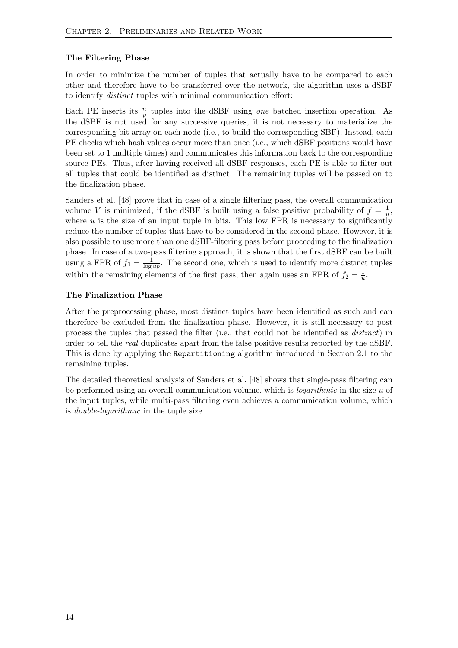#### The Filtering Phase

In order to minimize the number of tuples that actually have to be compared to each other and therefore have to be transferred over the network, the algorithm uses a dSBF to identify distinct tuples with minimal communication effort:

Each PE inserts its  $\frac{n}{p}$  tuples into the dSBF using *one* batched insertion operation. As the dSBF is not used for any successive queries, it is not necessary to materialize the corresponding bit array on each node (i.e., to build the corresponding SBF). Instead, each PE checks which hash values occur more than once (i.e., which dSBF positions would have been set to 1 multiple times) and communicates this information back to the corresponding source PEs. Thus, after having received all dSBF responses, each PE is able to filter out all tuples that could be identified as distinct. The remaining tuples will be passed on to the finalization phase.

Sanders et al. [\[48\]](#page-62-0) prove that in case of a single filtering pass, the overall communication volume V is minimized, if the dSBF is built using a false positive probability of  $f = \frac{1}{u}$  $\frac{1}{u}$ , where  $u$  is the size of an input tuple in bits. This low FPR is necessary to significantly reduce the number of tuples that have to be considered in the second phase. However, it is also possible to use more than one dSBF-filtering pass before proceeding to the finalization phase. In case of a two-pass filtering approach, it is shown that the first dSBF can be built using a FPR of  $f_1 = \frac{1}{\log 2}$  $\frac{1}{\log up}$ . The second one, which is used to identify more distinct tuples within the remaining elements of the first pass, then again uses an FPR of  $f_2 = \frac{1}{u}$  $\frac{1}{u}$ .

#### The Finalization Phase

After the preprocessing phase, most distinct tuples have been identified as such and can therefore be excluded from the finalization phase. However, it is still necessary to post process the tuples that passed the filter (i.e., that could not be identified as distinct) in order to tell the real duplicates apart from the false positive results reported by the dSBF. This is done by applying the Repartitioning algorithm introduced in Section [2.1](#page-12-1) to the remaining tuples.

The detailed theoretical analysis of Sanders et al. [\[48\]](#page-62-0) shows that single-pass filtering can be performed using an overall communication volume, which is *logarithmic* in the size  $u$  of the input tuples, while multi-pass filtering even achieves a communication volume, which is double-logarithmic in the tuple size.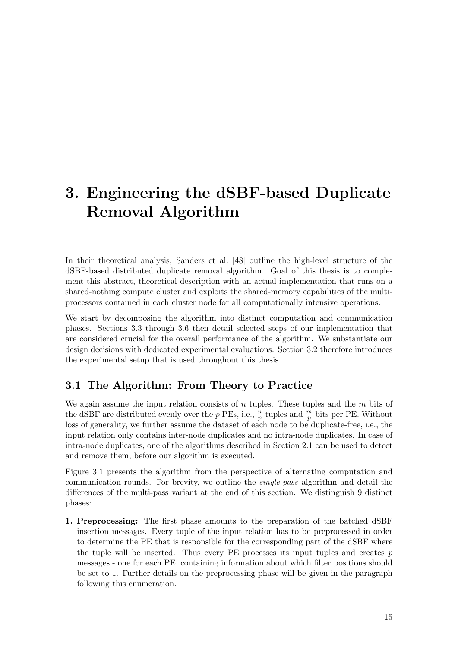## <span id="page-22-0"></span>3. Engineering the dSBF-based Duplicate Removal Algorithm

In their theoretical analysis, Sanders et al. [\[48\]](#page-62-0) outline the high-level structure of the dSBF-based distributed duplicate removal algorithm. Goal of this thesis is to complement this abstract, theoretical description with an actual implementation that runs on a shared-nothing compute cluster and exploits the shared-memory capabilities of the multiprocessors contained in each cluster node for all computationally intensive operations.

We start by decomposing the algorithm into distinct computation and communication phases. Sections [3.3](#page-26-2) through [3.6](#page-45-0) then detail selected steps of our implementation that are considered crucial for the overall performance of the algorithm. We substantiate our design decisions with dedicated experimental evaluations. Section [3.2](#page-26-1) therefore introduces the experimental setup that is used throughout this thesis.

## <span id="page-22-1"></span>3.1 The Algorithm: From Theory to Practice

We again assume the input relation consists of  $n$  tuples. These tuples and the  $m$  bits of the dSBF are distributed evenly over the p PEs, i.e.,  $\frac{n}{p}$  tuples and  $\frac{m}{p}$  bits per PE. Without loss of generality, we further assume the dataset of each node to be duplicate-free, i.e., the input relation only contains inter-node duplicates and no intra-node duplicates. In case of intra-node duplicates, one of the algorithms described in Section [2.1](#page-12-2) can be used to detect and remove them, before our algorithm is executed.

Figure [3.1](#page-23-0) presents the algorithm from the perspective of alternating computation and communication rounds. For brevity, we outline the single-pass algorithm and detail the differences of the multi-pass variant at the end of this section. We distinguish 9 distinct phases:

1. Preprocessing: The first phase amounts to the preparation of the batched dSBF insertion messages. Every tuple of the input relation has to be preprocessed in order to determine the PE that is responsible for the corresponding part of the dSBF where the tuple will be inserted. Thus every PE processes its input tuples and creates  $p$ messages - one for each PE, containing information about which filter positions should be set to 1. Further details on the preprocessing phase will be given in the paragraph following this enumeration.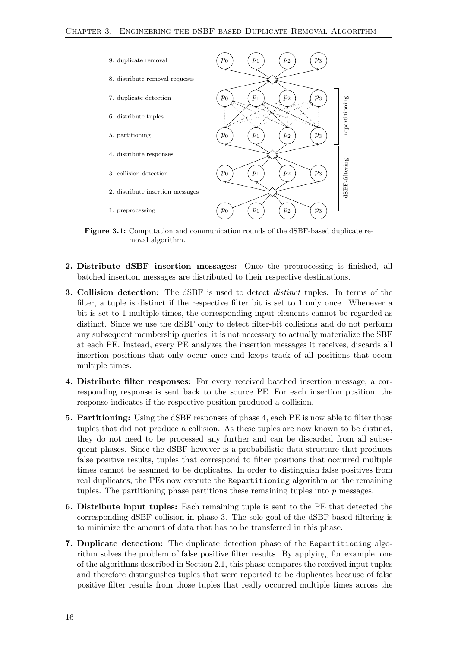<span id="page-23-0"></span>

Figure 3.1: Computation and communication rounds of the dSBF-based duplicate removal algorithm.

- 2. Distribute dSBF insertion messages: Once the preprocessing is finished, all batched insertion messages are distributed to their respective destinations.
- 3. Collision detection: The dSBF is used to detect distinct tuples. In terms of the filter, a tuple is distinct if the respective filter bit is set to 1 only once. Whenever a bit is set to 1 multiple times, the corresponding input elements cannot be regarded as distinct. Since we use the dSBF only to detect filter-bit collisions and do not perform any subsequent membership queries, it is not necessary to actually materialize the SBF at each PE. Instead, every PE analyzes the insertion messages it receives, discards all insertion positions that only occur once and keeps track of all positions that occur multiple times.
- 4. Distribute filter responses: For every received batched insertion message, a corresponding response is sent back to the source PE. For each insertion position, the response indicates if the respective position produced a collision.
- 5. Partitioning: Using the dSBF responses of phase 4, each PE is now able to filter those tuples that did not produce a collision. As these tuples are now known to be distinct, they do not need to be processed any further and can be discarded from all subsequent phases. Since the dSBF however is a probabilistic data structure that produces false positive results, tuples that correspond to filter positions that occurred multiple times cannot be assumed to be duplicates. In order to distinguish false positives from real duplicates, the PEs now execute the Repartitioning algorithm on the remaining tuples. The partitioning phase partitions these remaining tuples into  $p$  messages.
- 6. Distribute input tuples: Each remaining tuple is sent to the PE that detected the corresponding dSBF collision in phase 3. The sole goal of the dSBF-based filtering is to minimize the amount of data that has to be transferred in this phase.
- 7. Duplicate detection: The duplicate detection phase of the Repartitioning algorithm solves the problem of false positive filter results. By applying, for example, one of the algorithms described in Section [2.1,](#page-12-2) this phase compares the received input tuples and therefore distinguishes tuples that were reported to be duplicates because of false positive filter results from those tuples that really occurred multiple times across the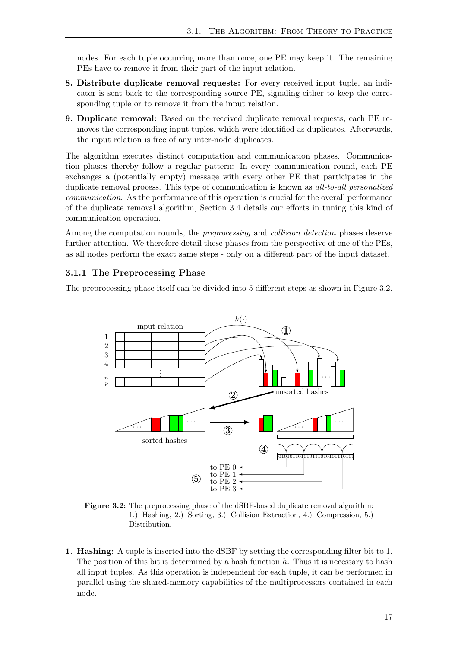nodes. For each tuple occurring more than once, one PE may keep it. The remaining PEs have to remove it from their part of the input relation.

- 8. Distribute duplicate removal requests: For every received input tuple, an indicator is sent back to the corresponding source PE, signaling either to keep the corresponding tuple or to remove it from the input relation.
- 9. Duplicate removal: Based on the received duplicate removal requests, each PE removes the corresponding input tuples, which were identified as duplicates. Afterwards, the input relation is free of any inter-node duplicates.

The algorithm executes distinct computation and communication phases. Communication phases thereby follow a regular pattern: In every communication round, each PE exchanges a (potentially empty) message with every other PE that participates in the duplicate removal process. This type of communication is known as *all-to-all personalized* communication. As the performance of this operation is crucial for the overall performance of the duplicate removal algorithm, Section [3.4](#page-32-0) details our efforts in tuning this kind of communication operation.

Among the computation rounds, the *preprocessing* and *collision detection* phases deserve further attention. We therefore detail these phases from the perspective of one of the PEs, as all nodes perform the exact same steps - only on a different part of the input dataset.

#### <span id="page-24-0"></span>3.1.1 The Preprocessing Phase

<span id="page-24-1"></span>The preprocessing phase itself can be divided into 5 different steps as shown in Figure [3.2.](#page-24-1)



Figure 3.2: The preprocessing phase of the dSBF-based duplicate removal algorithm: 1.) Hashing, 2.) Sorting, 3.) Collision Extraction, 4.) Compression, 5.) Distribution.

1. Hashing: A tuple is inserted into the dSBF by setting the corresponding filter bit to 1. The position of this bit is determined by a hash function  $h$ . Thus it is necessary to hash all input tuples. As this operation is independent for each tuple, it can be performed in parallel using the shared-memory capabilities of the multiprocessors contained in each node.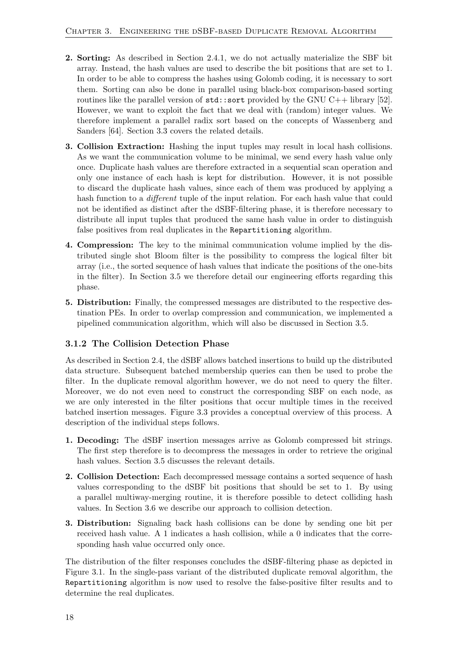- 2. Sorting: As described in Section [2.4.1,](#page-20-1) we do not actually materialize the SBF bit array. Instead, the hash values are used to describe the bit positions that are set to 1. In order to be able to compress the hashes using Golomb coding, it is necessary to sort them. Sorting can also be done in parallel using black-box comparison-based sorting routines like the parallel version of  $\text{std}$ : sort provided by the GNU C++ library [\[52\]](#page-63-15). However, we want to exploit the fact that we deal with (random) integer values. We therefore implement a parallel radix sort based on the concepts of Wassenberg and Sanders [\[64\]](#page-63-5). Section [3.3](#page-26-2) covers the related details.
- 3. Collision Extraction: Hashing the input tuples may result in local hash collisions. As we want the communication volume to be minimal, we send every hash value only once. Duplicate hash values are therefore extracted in a sequential scan operation and only one instance of each hash is kept for distribution. However, it is not possible to discard the duplicate hash values, since each of them was produced by applying a hash function to a *different* tuple of the input relation. For each hash value that could not be identified as distinct after the dSBF-filtering phase, it is therefore necessary to distribute all input tuples that produced the same hash value in order to distinguish false positives from real duplicates in the Repartitioning algorithm.
- 4. Compression: The key to the minimal communication volume implied by the distributed single shot Bloom filter is the possibility to compress the logical filter bit array (i.e., the sorted sequence of hash values that indicate the positions of the one-bits in the filter). In Section [3.5](#page-37-0) we therefore detail our engineering efforts regarding this phase.
- 5. Distribution: Finally, the compressed messages are distributed to the respective destination PEs. In order to overlap compression and communication, we implemented a pipelined communication algorithm, which will also be discussed in Section [3.5.](#page-37-0)

### <span id="page-25-0"></span>3.1.2 The Collision Detection Phase

As described in Section [2.4,](#page-20-0) the dSBF allows batched insertions to build up the distributed data structure. Subsequent batched membership queries can then be used to probe the filter. In the duplicate removal algorithm however, we do not need to query the filter. Moreover, we do not even need to construct the corresponding SBF on each node, as we are only interested in the filter positions that occur multiple times in the received batched insertion messages. Figure [3.3](#page-26-3) provides a conceptual overview of this process. A description of the individual steps follows.

- 1. Decoding: The dSBF insertion messages arrive as Golomb compressed bit strings. The first step therefore is to decompress the messages in order to retrieve the original hash values. Section [3.5](#page-37-0) discusses the relevant details.
- 2. Collision Detection: Each decompressed message contains a sorted sequence of hash values corresponding to the dSBF bit positions that should be set to 1. By using a parallel multiway-merging routine, it is therefore possible to detect colliding hash values. In Section [3.6](#page-45-0) we describe our approach to collision detection.
- 3. Distribution: Signaling back hash collisions can be done by sending one bit per received hash value. A 1 indicates a hash collision, while a 0 indicates that the corresponding hash value occurred only once.

The distribution of the filter responses concludes the dSBF-filtering phase as depicted in Figure [3.1.](#page-23-0) In the single-pass variant of the distributed duplicate removal algorithm, the Repartitioning algorithm is now used to resolve the false-positive filter results and to determine the real duplicates.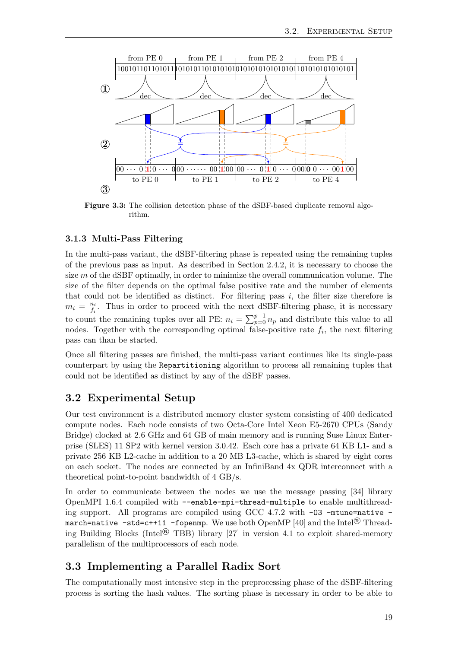<span id="page-26-3"></span>

Figure 3.3: The collision detection phase of the dSBF-based duplicate removal algorithm.

#### <span id="page-26-0"></span>3.1.3 Multi-Pass Filtering

In the multi-pass variant, the dSBF-filtering phase is repeated using the remaining tuples of the previous pass as input. As described in Section [2.4.2,](#page-20-2) it is necessary to choose the size  $m$  of the dSBF optimally, in order to minimize the overall communication volume. The size of the filter depends on the optimal false positive rate and the number of elements that could not be identified as distinct. For filtering pass  $i$ , the filter size therefore is  $m_i = \frac{n_i}{f_i}$  $\frac{n_i}{f_i}$ . Thus in order to proceed with the next dSBF-filtering phase, it is necessary to count the remaining tuples over all PE:  $n_i = \sum_{p=0}^{p-1} n_p$  and distribute this value to all nodes. Together with the corresponding optimal false-positive rate  $f_i$ , the next filtering pass can than be started.

Once all filtering passes are finished, the multi-pass variant continues like its single-pass counterpart by using the Repartitioning algorithm to process all remaining tuples that could not be identified as distinct by any of the dSBF passes.

### <span id="page-26-1"></span>3.2 Experimental Setup

Our test environment is a distributed memory cluster system consisting of 400 dedicated compute nodes. Each node consists of two Octa-Core Intel Xeon E5-2670 CPUs (Sandy Bridge) clocked at 2.6 GHz and 64 GB of main memory and is running Suse Linux Enterprise (SLES) 11 SP2 with kernel version 3.0.42. Each core has a private 64 KB L1- and a private 256 KB L2-cache in addition to a 20 MB L3-cache, which is shared by eight cores on each socket. The nodes are connected by an InfiniBand 4x QDR interconnect with a theoretical point-to-point bandwidth of 4 GB/s.

In order to communicate between the nodes we use the message passing [\[34\]](#page-62-14) library OpenMPI 1.6.4 compiled with --enable-mpi-thread-multiple to enable multithreading support. All programs are compiled using GCC 4.7.2 with -O3 -mtune=native march=native  $-std=ct+11$  -fopenmp. We use both OpenMP [\[40\]](#page-62-15) and the Intel<sup>®</sup> Thread-ing Building Blocks (Intel<sup>®</sup> TBB) library [\[27\]](#page-61-16) in version 4.1 to exploit shared-memory parallelism of the multiprocessors of each node.

### <span id="page-26-2"></span>3.3 Implementing a Parallel Radix Sort

The computationally most intensive step in the preprocessing phase of the dSBF-filtering process is sorting the hash values. The sorting phase is necessary in order to be able to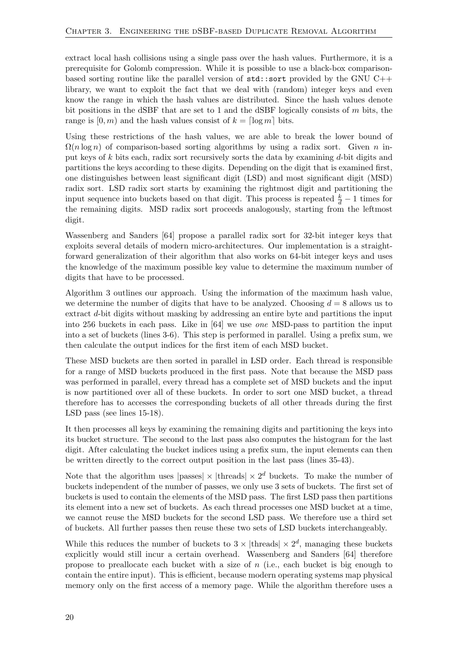extract local hash collisions using a single pass over the hash values. Furthermore, it is a prerequisite for Golomb compression. While it is possible to use a black-box comparisonbased sorting routine like the parallel version of  $\texttt{std}:\texttt{sort}$  provided by the GNU C++ library, we want to exploit the fact that we deal with (random) integer keys and even know the range in which the hash values are distributed. Since the hash values denote bit positions in the dSBF that are set to 1 and the dSBF logically consists of  $m$  bits, the range is  $[0, m)$  and the hash values consist of  $k = \lceil \log m \rceil$  bits.

Using these restrictions of the hash values, we are able to break the lower bound of  $\Omega(n \log n)$  of comparison-based sorting algorithms by using a radix sort. Given n input keys of k bits each, radix sort recursively sorts the data by examining d-bit digits and partitions the keys according to these digits. Depending on the digit that is examined first, one distinguishes between least significant digit (LSD) and most significant digit (MSD) radix sort. LSD radix sort starts by examining the rightmost digit and partitioning the input sequence into buckets based on that digit. This process is repeated  $\frac{k}{d} - 1$  times for the remaining digits. MSD radix sort proceeds analogously, starting from the leftmost digit.

Wassenberg and Sanders [\[64\]](#page-63-5) propose a parallel radix sort for 32-bit integer keys that exploits several details of modern micro-architectures. Our implementation is a straightforward generalization of their algorithm that also works on 64-bit integer keys and uses the knowledge of the maximum possible key value to determine the maximum number of digits that have to be processed.

Algorithm [3](#page-29-0) outlines our approach. Using the information of the maximum hash value, we determine the number of digits that have to be analyzed. Choosing  $d = 8$  allows us to extract d-bit digits without masking by addressing an entire byte and partitions the input into 256 buckets in each pass. Like in [\[64\]](#page-63-5) we use one MSD-pass to partition the input into a set of buckets (lines 3-6). This step is performed in parallel. Using a prefix sum, we then calculate the output indices for the first item of each MSD bucket.

These MSD buckets are then sorted in parallel in LSD order. Each thread is responsible for a range of MSD buckets produced in the first pass. Note that because the MSD pass was performed in parallel, every thread has a complete set of MSD buckets and the input is now partitioned over all of these buckets. In order to sort one MSD bucket, a thread therefore has to accesses the corresponding buckets of all other threads during the first LSD pass (see lines 15-18).

It then processes all keys by examining the remaining digits and partitioning the keys into its bucket structure. The second to the last pass also computes the histogram for the last digit. After calculating the bucket indices using a prefix sum, the input elements can then be written directly to the correct output position in the last pass (lines 35-43).

Note that the algorithm uses  $|\text{passes}| \times |\text{threads}| \times 2^d$  buckets. To make the number of buckets independent of the number of passes, we only use 3 sets of buckets. The first set of buckets is used to contain the elements of the MSD pass. The first LSD pass then partitions its element into a new set of buckets. As each thread processes one MSD bucket at a time, we cannot reuse the MSD buckets for the second LSD pass. We therefore use a third set of buckets. All further passes then reuse these two sets of LSD buckets interchangeably.

While this reduces the number of buckets to  $3 \times |$  threads  $| \times 2^d$ , managing these buckets explicitly would still incur a certain overhead. Wassenberg and Sanders [\[64\]](#page-63-5) therefore propose to preallocate each bucket with a size of  $n$  (i.e., each bucket is big enough to contain the entire input). This is efficient, because modern operating systems map physical memory only on the first access of a memory page. While the algorithm therefore uses a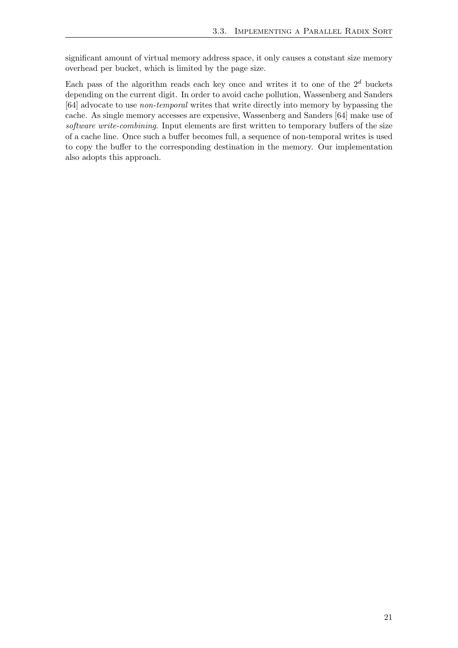significant amount of virtual memory address space, it only causes a constant size memory overhead per bucket, which is limited by the page size.

Each pass of the algorithm reads each key once and writes it to one of the  $2<sup>d</sup>$  buckets depending on the current digit. In order to avoid cache pollution, Wassenberg and Sanders [\[64\]](#page-63-5) advocate to use non-temporal writes that write directly into memory by bypassing the cache. As single memory accesses are expensive, Wassenberg and Sanders [\[64\]](#page-63-5) make use of software write-combining. Input elements are first written to temporary buffers of the size of a cache line. Once such a buffer becomes full, a sequence of non-temporal writes is used to copy the buffer to the corresponding destination in the memory. Our implementation also adopts this approach.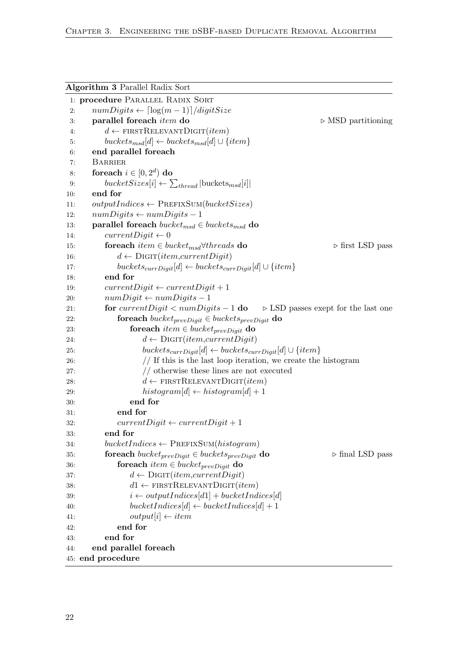<span id="page-29-0"></span>

|            | <b>Algorithm 3 Parallel Radix Sort</b>                                                         |  |
|------------|------------------------------------------------------------------------------------------------|--|
|            | 1: procedure PARALLEL RADIX SORT                                                               |  |
| 2:         | $numDigits \leftarrow \lceil \log(m-1) \rceil / digitSize \rceil$                              |  |
| 3:         | parallel foreach <i>item</i> do<br>$\triangleright$ MSD partitioning                           |  |
| 4:         | $d \leftarrow$ FIRSTRELEVANTDIGIT( <i>item</i> )                                               |  |
| 5:         | $buckets_{msd}[d] \leftarrow buckets_{msd}[d] \cup \{item\}$                                   |  |
| 6:         | end parallel foreach                                                                           |  |
| 7:         | <b>BARRIER</b>                                                                                 |  |
| 8:         | foreach $i \in [0, 2^d)$ do                                                                    |  |
| 9:         | $bucketSizes[i] \leftarrow \sum_{thread}   \text{bucketS}_{msd}[i] $                           |  |
| 10:        | end for                                                                                        |  |
| 11:        | $outputIndices \leftarrow PREFIXSUM(bucketsSizes)$                                             |  |
| 12:        | $numDigits \leftarrow numDigits - 1$                                                           |  |
| 13:        | parallel foreach $bucket_{msd} \in buckets_{msd}$ do                                           |  |
| 14:        | $currentDigit \leftarrow 0$                                                                    |  |
| 15:        | for each <i>item</i> $\in bucket_{msd} \forall three ds$ do<br>$\triangleright$ first LSD pass |  |
| 16:        | $d \leftarrow$ DIGIT( <i>item,currentDigit</i> )                                               |  |
| 17:        | $buckets_{currDigit}[d] \leftarrow buckets_{currDigit}[d] \cup \{item\}$                       |  |
| 18:        | end for                                                                                        |  |
| 19:        | $currentDigit \leftarrow currentDigit + 1$                                                     |  |
| 20:        | $numDigit \leftarrow numDigits - 1$                                                            |  |
| 21:        | for $currentDigit < numDigits - 1$ do<br>$\triangleright$ LSD passes exept for the last one    |  |
| 22:        | foreach bucket <sub>prevDigit</sub> $\in$ buckets <sub>prevDigit</sub> do                      |  |
| 23:        | foreach <i>item</i> $\in bucket_{prevDigit}$ do                                                |  |
| 24:        | $d \leftarrow$ DIGIT( <i>item,currentDigit</i> )                                               |  |
| <b>25:</b> | $buckets_{currDigit}[d] \leftarrow buckets_{currDigit}[d] \cup \{item\}$                       |  |
| 26:        | $//$ If this is the last loop iteration, we create the histogram                               |  |
| 27:        | $//$ otherwise these lines are not executed                                                    |  |
| 28:        | $d \leftarrow$ FIRSTRELEVANTDIGIT( <i>item</i> )                                               |  |
| 29:        | $histogram[d] \leftarrow histogram[d] + 1$                                                     |  |
| 30:        | end for                                                                                        |  |
| 31:        | end for                                                                                        |  |
| 32:        | $currentDigit \leftarrow currentDigit + 1$                                                     |  |
| 33:        | end for                                                                                        |  |
| 34:        | $bucketindices \leftarrow PREFIXSUM(histogram)$                                                |  |
| 35:        | foreach bucket $t_{prevDigit} \in buckets_{prevDigit}$ do<br>$\triangleright$ final LSD pass   |  |
| 36:        | foreach <i>item</i> $\in bucket_{prevDigit}$ do                                                |  |
| 37:        | $d \leftarrow$ DIGIT( <i>item,currentDigit</i> )                                               |  |
| 38:        | $d1 \leftarrow$ FIRSTRELEVANTDIGIT( <i>item</i> )                                              |  |
| 39:        | $i \leftarrow outputIndices[d1] + bucketIndices[d]$                                            |  |
| 40:        | $bucketindices[d] \leftarrow bucketIndices[d] + 1$                                             |  |
| 41:<br>42: | $output[i] \leftarrow item$<br>end for                                                         |  |
| 43:        | end for                                                                                        |  |
| 44:        | end parallel foreach                                                                           |  |
|            | 45: end procedure                                                                              |  |
|            |                                                                                                |  |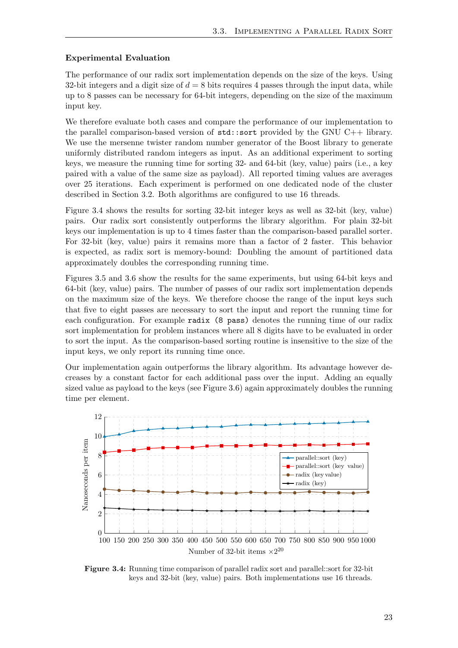#### Experimental Evaluation

The performance of our radix sort implementation depends on the size of the keys. Using 32-bit integers and a digit size of  $d = 8$  bits requires 4 passes through the input data, while up to 8 passes can be necessary for 64-bit integers, depending on the size of the maximum input key.

We therefore evaluate both cases and compare the performance of our implementation to the parallel comparison-based version of std::sort provided by the GNU C++ library. We use the mersenne twister random number generator of the Boost library to generate uniformly distributed random integers as input. As an additional experiment to sorting keys, we measure the running time for sorting 32- and 64-bit (key, value) pairs (i.e., a key paired with a value of the same size as payload). All reported timing values are averages over 25 iterations. Each experiment is performed on one dedicated node of the cluster described in Section [3.2.](#page-26-1) Both algorithms are configured to use 16 threads.

Figure [3.4](#page-30-0) shows the results for sorting 32-bit integer keys as well as 32-bit (key, value) pairs. Our radix sort consistently outperforms the library algorithm. For plain 32-bit keys our implementation is up to 4 times faster than the comparison-based parallel sorter. For 32-bit (key, value) pairs it remains more than a factor of 2 faster. This behavior is expected, as radix sort is memory-bound: Doubling the amount of partitioned data approximately doubles the corresponding running time.

Figures [3.5](#page-31-0) and [3.6](#page-31-1) show the results for the same experiments, but using 64-bit keys and 64-bit (key, value) pairs. The number of passes of our radix sort implementation depends on the maximum size of the keys. We therefore choose the range of the input keys such that five to eight passes are necessary to sort the input and report the running time for each configuration. For example radix (8 pass) denotes the running time of our radix sort implementation for problem instances where all 8 digits have to be evaluated in order to sort the input. As the comparison-based sorting routine is insensitive to the size of the input keys, we only report its running time once.

Our implementation again outperforms the library algorithm. Its advantage however decreases by a constant factor for each additional pass over the input. Adding an equally sized value as payload to the keys (see Figure [3.6\)](#page-31-1) again approximately doubles the running time per element.

<span id="page-30-0"></span>

Figure 3.4: Running time comparison of parallel radix sort and parallel::sort for 32-bit keys and 32-bit (key, value) pairs. Both implementations use 16 threads.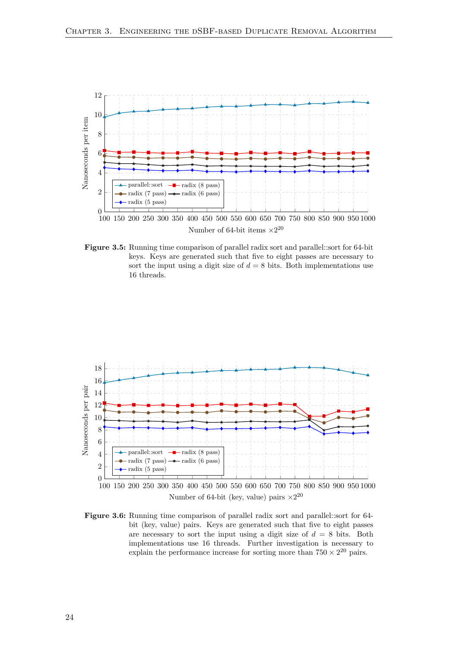<span id="page-31-0"></span>

Figure 3.5: Running time comparison of parallel radix sort and parallel::sort for 64-bit keys. Keys are generated such that five to eight passes are necessary to sort the input using a digit size of  $d = 8$  bits. Both implementations use 16 threads.

<span id="page-31-1"></span>

Number of 64-bit (key, value) pairs  $\times 2^{20}$ 

Figure 3.6: Running time comparison of parallel radix sort and parallel::sort for 64 bit (key, value) pairs. Keys are generated such that five to eight passes are necessary to sort the input using a digit size of  $d = 8$  bits. Both implementations use 16 threads. Further investigation is necessary to explain the performance increase for sorting more than  $750 \times 2^{20}$  pairs.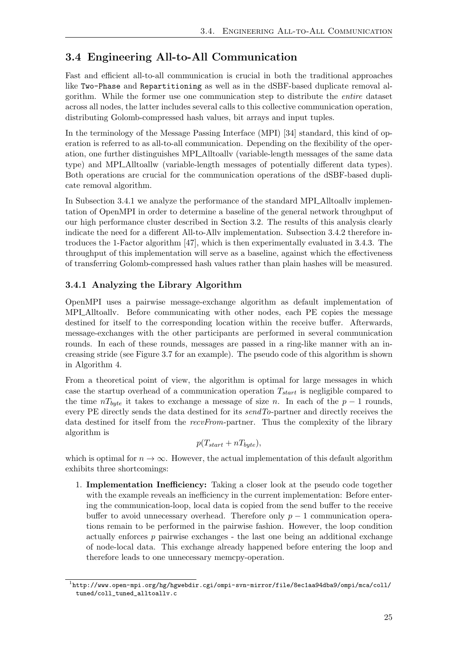## <span id="page-32-0"></span>3.4 Engineering All-to-All Communication

Fast and efficient all-to-all communication is crucial in both the traditional approaches like Two-Phase and Repartitioning as well as in the dSBF-based duplicate removal algorithm. While the former use one communication step to distribute the entire dataset across all nodes, the latter includes several calls to this collective communication operation, distributing Golomb-compressed hash values, bit arrays and input tuples.

In the terminology of the Message Passing Interface (MPI) [\[34\]](#page-62-14) standard, this kind of operation is referred to as all-to-all communication. Depending on the flexibility of the operation, one further distinguishes MPI Alltoallv (variable-length messages of the same data type) and MPI\_Alltoallw (variable-length messages of potentially different data types). Both operations are crucial for the communication operations of the dSBF-based duplicate removal algorithm.

In Subsection [3.4.1](#page-32-1) we analyze the performance of the standard MPI Alltoallv implementation of OpenMPI in order to determine a baseline of the general network throughput of our high performance cluster described in Section [3.2.](#page-26-1) The results of this analysis clearly indicate the need for a different All-to-Allv implementation. Subsection [3.4.2](#page-34-0) therefore introduces the 1-Factor algorithm [\[47\]](#page-62-2), which is then experimentally evaluated in [3.4.3.](#page-36-0) The throughput of this implementation will serve as a baseline, against which the effectiveness of transferring Golomb-compressed hash values rather than plain hashes will be measured.

#### <span id="page-32-1"></span>3.4.1 Analyzing the Library Algorithm

OpenMPI uses a pairwise message-exchange algorithm as default implementation of MPI\_Alltoally. Before communicating with other nodes, each PE copies the message destined for itself to the corresponding location within the receive buffer. Afterwards, message-exchanges with the other participants are performed in several communication rounds. In each of these rounds, messages are passed in a ring-like manner with an increasing stride (see Figure [3.7](#page-33-0) for an example). The pseudo code of this algorithm is shown in Algorithm [4.](#page-33-1)

From a theoretical point of view, the algorithm is optimal for large messages in which case the startup overhead of a communication operation  $T_{start}$  is negligible compared to the time  $n_{byte}$  it takes to exchange a message of size n. In each of the  $p-1$  rounds, every PE directly sends the data destined for its  $sendTo$ -partner and directly receives the data destined for itself from the recvFrom-partner. Thus the complexity of the library algorithm is

$$
p(T_{start} + nT_{byte}),
$$

which is optimal for  $n \to \infty$ . However, the actual implementation of this default algorithm exhibits three shortcomings:

1. Implementation Inefficiency: Taking a closer look at the pseudo code together with the example reveals an inefficiency in the current implementation: Before entering the communication-loop, local data is copied from the send buffer to the receive buffer to avoid unnecessary overhead. Therefore only  $p-1$  communication operations remain to be performed in the pairwise fashion. However, the loop condition actually enforces p pairwise exchanges - the last one being an additional exchange of node-local data. This exchange already happened before entering the loop and therefore leads to one unnecessary memcpy-operation.

<span id="page-32-2"></span> $^{\rm 1}$ [http://www.open-mpi.org/hg/hgwebdir.cgi/ompi-svn-mirror/file/8ec1aa94dba9/ompi/mca/coll/](http://www.open-mpi.org/hg/hgwebdir.cgi/ompi-svn-mirror/file/8ec1aa94dba9/ompi/mca/coll/tuned/coll_tuned_alltoallv.c) [tuned/coll\\_tuned\\_alltoallv.c](http://www.open-mpi.org/hg/hgwebdir.cgi/ompi-svn-mirror/file/8ec1aa94dba9/ompi/mca/coll/tuned/coll_tuned_alltoallv.c)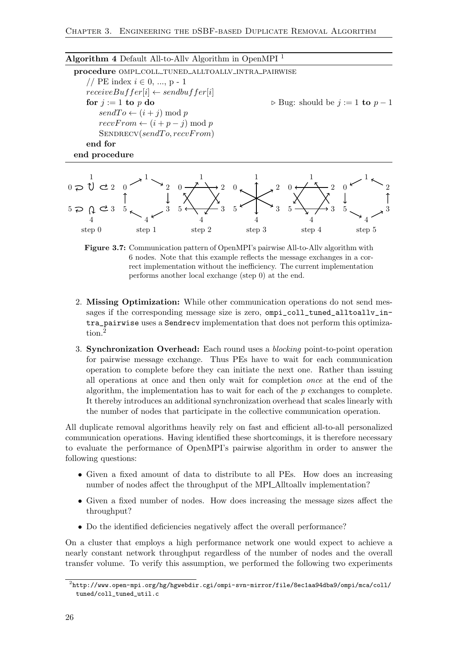<span id="page-33-1"></span>

| Algorithm 4 Default All-to-Ally Algorithm in OpenMPI <sup>1</sup> |                                                     |
|-------------------------------------------------------------------|-----------------------------------------------------|
| procedure OMPI_COLL_TUNED_ALLTOALLV_INTRA_PAIRWISE                |                                                     |
| // PE index $i \in 0, , p - 1$                                    |                                                     |
| $receiveBuffer[i] \leftarrow sendbuffer[i]$                       |                                                     |
| for $j := 1$ to p do                                              | $\triangleright$ Bug: should be $j := 1$ to $p - 1$ |
| $sendTo \leftarrow (i + j) \mod p$                                |                                                     |
| $recvFrom \leftarrow (i + p - j) \mod p$                          |                                                     |
| SENDRECV(sendTo,recvFrom)                                         |                                                     |
| end for                                                           |                                                     |
| end procedure                                                     |                                                     |

<span id="page-33-0"></span>

Figure 3.7: Communication pattern of OpenMPI's pairwise All-to-Allv algorithm with 6 nodes. Note that this example reflects the message exchanges in a correct implementation without the inefficiency. The current implementation performs another local exchange (step 0) at the end.

- 2. Missing Optimization: While other communication operations do not send messages if the corresponding message size is zero, ompi\_coll\_tuned\_alltoallv\_intra\_pairwise uses a Sendrecv implementation that does not perform this optimization.[2](#page-33-2)
- 3. Synchronization Overhead: Each round uses a blocking point-to-point operation for pairwise message exchange. Thus PEs have to wait for each communication operation to complete before they can initiate the next one. Rather than issuing all operations at once and then only wait for completion once at the end of the algorithm, the implementation has to wait for each of the  $p$  exchanges to complete. It thereby introduces an additional synchronization overhead that scales linearly with the number of nodes that participate in the collective communication operation.

All duplicate removal algorithms heavily rely on fast and efficient all-to-all personalized communication operations. Having identified these shortcomings, it is therefore necessary to evaluate the performance of OpenMPI's pairwise algorithm in order to answer the following questions:

- Given a fixed amount of data to distribute to all PEs. How does an increasing number of nodes affect the throughput of the MPI\_Alltoally implementation?
- Given a fixed number of nodes. How does increasing the message sizes affect the throughput?
- Do the identified deficiencies negatively affect the overall performance?

On a cluster that employs a high performance network one would expect to achieve a nearly constant network throughput regardless of the number of nodes and the overall transfer volume. To verify this assumption, we performed the following two experiments

<span id="page-33-2"></span> $^2$ [http://www.open-mpi.org/hg/hgwebdir.cgi/ompi-svn-mirror/file/8ec1aa94dba9/ompi/mca/coll/](http://www.open-mpi.org/hg/hgwebdir.cgi/ompi-svn-mirror/file/8ec1aa94dba9/ompi/mca/coll/tuned/coll_tuned_util.c) [tuned/coll\\_tuned\\_util.c](http://www.open-mpi.org/hg/hgwebdir.cgi/ompi-svn-mirror/file/8ec1aa94dba9/ompi/mca/coll/tuned/coll_tuned_util.c)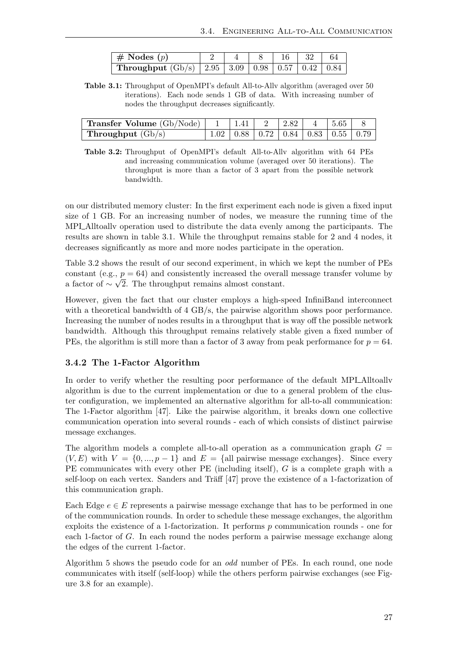| $\parallel \# \text{Nodes } (p)$                              |  |  | $\vert$ 32 $\vert$ | 64 |
|---------------------------------------------------------------|--|--|--------------------|----|
| Throughput $(Gb/s)$   2.95   3.09   0.98   0.57   0.42   0.84 |  |  |                    |    |

<span id="page-34-1"></span>Table 3.1: Throughput of OpenMPI's default All-to-Allv algorithm (averaged over 50 iterations). Each node sends 1 GB of data. With increasing number of nodes the throughput decreases significantly.

<span id="page-34-2"></span>

| <b>Transfer Volume</b> (Gb/Node)   1   1.41   2   2.82   4   5.65   8 |                                                   |  |  |  |
|-----------------------------------------------------------------------|---------------------------------------------------|--|--|--|
| <b>Throughput</b> $(Gb/s)$                                            | $+1.02$   0.88   0.72   0.84   0.83   0.55   0.79 |  |  |  |

Table 3.2: Throughput of OpenMPI's default All-to-Allv algorithm with 64 PEs and increasing communication volume (averaged over 50 iterations). The throughput is more than a factor of 3 apart from the possible network bandwidth.

on our distributed memory cluster: In the first experiment each node is given a fixed input size of 1 GB. For an increasing number of nodes, we measure the running time of the MPI Alltoally operation used to distribute the data evenly among the participants. The results are shown in table [3.1.](#page-34-1) While the throughput remains stable for 2 and 4 nodes, it decreases significantly as more and more nodes participate in the operation.

Table [3.2](#page-34-2) shows the result of our second experiment, in which we kept the number of PEs constant (e.g.,  $p = 64$ ) and consistently increased the overall message transfer volume by a factor of  $\sim \sqrt{2}$ . The throughput remains almost constant.

However, given the fact that our cluster employs a high-speed InfiniBand interconnect with a theoretical bandwidth of 4 GB/s, the pairwise algorithm shows poor performance. Increasing the number of nodes results in a throughput that is way off the possible network bandwidth. Although this throughput remains relatively stable given a fixed number of PEs, the algorithm is still more than a factor of 3 away from peak performance for  $p = 64$ .

#### <span id="page-34-0"></span>3.4.2 The 1-Factor Algorithm

In order to verify whether the resulting poor performance of the default MPI Alltoallv algorithm is due to the current implementation or due to a general problem of the cluster configuration, we implemented an alternative algorithm for all-to-all communication: The 1-Factor algorithm [\[47\]](#page-62-2). Like the pairwise algorithm, it breaks down one collective communication operation into several rounds - each of which consists of distinct pairwise message exchanges.

The algorithm models a complete all-to-all operation as a communication graph  $G =$  $(V, E)$  with  $V = \{0, ..., p-1\}$  and  $E = \{\text{all pairwise message exchanges}\}\$ . Since every PE communicates with every other PE (including itself), G is a complete graph with a self-loop on each vertex. Sanders and Träff  $[47]$  prove the existence of a 1-factorization of this communication graph.

Each Edge  $e \in E$  represents a pairwise message exchange that has to be performed in one of the communication rounds. In order to schedule these message exchanges, the algorithm exploits the existence of a 1-factorization. It performs  $p$  communication rounds - one for each 1-factor of G. In each round the nodes perform a pairwise message exchange along the edges of the current 1-factor.

Algorithm [5](#page-35-1) shows the pseudo code for an odd number of PEs. In each round, one node communicates with itself (self-loop) while the others perform pairwise exchanges (see Figure [3.8](#page-35-0) for an example).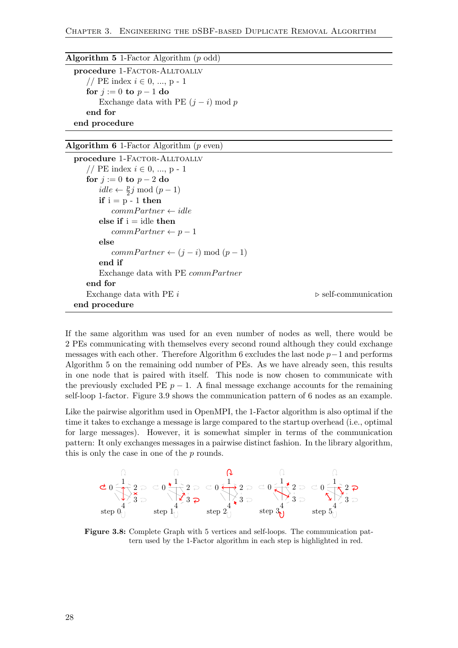<span id="page-35-1"></span>

| <b>Algorithm 5</b> 1-Factor Algorithm $(p \text{ odd})$ |
|---------------------------------------------------------|
| procedure 1-FACTOR-ALLTOALLV                            |
| // PE index $i \in 0, , p - 1$                          |
| for $j := 0$ to $p - 1$ do                              |
| Exchange data with PE $(j - i) \text{ mod } p$          |
| end for                                                 |
| end procedure                                           |

<span id="page-35-2"></span>

| Algorithm 6 1-Factor Algorithm $(p \text{ even})$ |  |  |  |  |  |
|---------------------------------------------------|--|--|--|--|--|
|---------------------------------------------------|--|--|--|--|--|

```
procedure 1-FACTOR-ALLTOALLV
   // PE index i \in 0, ..., p - 1for j := 0 to p - 2 do
       idle \leftarrow \frac{p}{2}j \mod (p-1)if i = p - 1 then
          commPartner \leftarrow idle
      else if i = idle then
          commPartner \leftarrow p-1else
          commPartner \leftarrow (j - i) \mod (p - 1)end if
      Exchange data with PE commPartner
   end for
   Exchange data with PE i \triangleright self-communication
end procedure
```
If the same algorithm was used for an even number of nodes as well, there would be 2 PEs communicating with themselves every second round although they could exchange messages with each other. Therefore Algorithm [6](#page-35-2) excludes the last node  $p-1$  and performs Algorithm [5](#page-35-1) on the remaining odd number of PEs. As we have already seen, this results in one node that is paired with itself. This node is now chosen to communicate with the previously excluded PE  $p-1$ . A final message exchange accounts for the remaining self-loop 1-factor. Figure [3.9](#page-36-1) shows the communication pattern of 6 nodes as an example.

Like the pairwise algorithm used in OpenMPI, the 1-Factor algorithm is also optimal if the time it takes to exchange a message is large compared to the startup overhead (i.e., optimal for large messages). However, it is somewhat simpler in terms of the communication pattern: It only exchanges messages in a pairwise distinct fashion. In the library algorithm, this is only the case in one of the p rounds.

<span id="page-35-0"></span>
$$
\mathbf{C} \mathbf{0} \xrightarrow{\mathbf{1}} \mathbf{2} \supset \mathbf{C} \mathbf{0} \xleftarrow{\mathbf{1}} \mathbf{2} \supset \mathbf{C} \mathbf{0} \xleftarrow{\mathbf{1}} \mathbf{2} \supset \mathbf{2} \supset \mathbf{0} \xleftarrow{\mathbf{1}} \mathbf{2} \supset \mathbf{2} \supset \mathbf{0} \xleftarrow{\mathbf{1}} \mathbf{2} \supset \mathbf{2} \supset \mathbf{2} \supset \mathbf{2} \supset \mathbf{2} \supset \mathbf{2} \supset \mathbf{2} \supset \mathbf{2} \supset \mathbf{2} \supset \mathbf{2} \supset \mathbf{2} \supset \mathbf{2} \supset \mathbf{2} \supset \mathbf{2} \supset \mathbf{2} \supset \mathbf{2} \supset \mathbf{2} \supset \mathbf{2} \supset \mathbf{2} \supset \mathbf{2} \supset \mathbf{2} \supset \mathbf{2} \supset \mathbf{2} \supset \mathbf{2} \supset \mathbf{2} \supset \mathbf{2} \supset \mathbf{2} \supset \mathbf{2} \supset \mathbf{2} \supset \mathbf{2} \supset \mathbf{2} \supset \mathbf{2} \supset \mathbf{2} \supset \mathbf{2} \sup \mathbf{2} \supset \mathbf{2} \sup \mathbf{2} \sup \mathbf{2} \sup \mathbf{2} \sup \mathbf{2} \sup \mathbf{2} \sup \mathbf{2} \sup \mathbf{2} \sup \mathbf{2} \sup \mathbf{2} \sup \mathbf{2} \sup \mathbf{2} \sup \mathbf{2} \sup \mathbf{2} \sup \mathbf{2} \sup \mathbf{2} \sup \mathbf{2} \sup \mathbf{2} \sup \mathbf{2} \sup \mathbf{2} \sup \mathbf{2} \sup \mathbf{2} \sup \mathbf{2} \sup \mathbf{2} \sup \mathbf{2} \sup \mathbf{2} \sup \mathbf{2} \sup \mathbf{2} \sup \mathbf{2} \sup \mathbf{2} \sup \mathbf{2} \sup \mathbf{2} \sup \mathbf{2} \sup \mathbf{2} \sup \mathbf{2} \sup \mathbf{2} \sup \mathbf{2} \
$$

Figure 3.8: Complete Graph with 5 vertices and self-loops. The communication pattern used by the 1-Factor algorithm in each step is highlighted in red.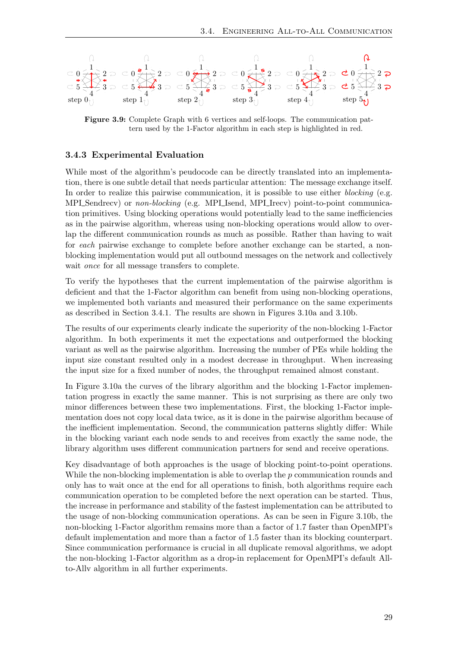<span id="page-36-1"></span>

Figure 3.9: Complete Graph with 6 vertices and self-loops. The communication pattern used by the 1-Factor algorithm in each step is highlighted in red.

#### <span id="page-36-0"></span>3.4.3 Experimental Evaluation

While most of the algorithm's peudocode can be directly translated into an implementation, there is one subtle detail that needs particular attention: The message exchange itself. In order to realize this pairwise communication, it is possible to use either *blocking* (e.g. MPI\_Sendrecv) or non-blocking (e.g. MPI\_Isend, MPI\_Irecv) point-to-point communication primitives. Using blocking operations would potentially lead to the same inefficiencies as in the pairwise algorithm, whereas using non-blocking operations would allow to overlap the different communication rounds as much as possible. Rather than having to wait for each pairwise exchange to complete before another exchange can be started, a nonblocking implementation would put all outbound messages on the network and collectively wait *once* for all message transfers to complete.

To verify the hypotheses that the current implementation of the pairwise algorithm is deficient and that the 1-Factor algorithm can benefit from using non-blocking operations, we implemented both variants and measured their performance on the same experiments as described in Section [3.4.1.](#page-32-1) The results are shown in Figures [3.10a](#page-37-2) and [3.10b.](#page-37-2)

The results of our experiments clearly indicate the superiority of the non-blocking 1-Factor algorithm. In both experiments it met the expectations and outperformed the blocking variant as well as the pairwise algorithm. Increasing the number of PEs while holding the input size constant resulted only in a modest decrease in throughput. When increasing the input size for a fixed number of nodes, the throughput remained almost constant.

In Figure [3.10a](#page-37-2) the curves of the library algorithm and the blocking 1-Factor implementation progress in exactly the same manner. This is not surprising as there are only two minor differences between these two implementations. First, the blocking 1-Factor implementation does not copy local data twice, as it is done in the pairwise algorithm because of the inefficient implementation. Second, the communication patterns slightly differ: While in the blocking variant each node sends to and receives from exactly the same node, the library algorithm uses different communication partners for send and receive operations.

Key disadvantage of both approaches is the usage of blocking point-to-point operations. While the non-blocking implementation is able to overlap the p communication rounds and only has to wait once at the end for all operations to finish, both algorithms require each communication operation to be completed before the next operation can be started. Thus, the increase in performance and stability of the fastest implementation can be attributed to the usage of non-blocking communication operations. As can be seen in Figure [3.10b,](#page-37-2) the non-blocking 1-Factor algorithm remains more than a factor of 1.7 faster than OpenMPI's default implementation and more than a factor of 1.5 faster than its blocking counterpart. Since communication performance is crucial in all duplicate removal algorithms, we adopt the non-blocking 1-Factor algorithm as a drop-in replacement for OpenMPI's default Allto-Allv algorithm in all further experiments.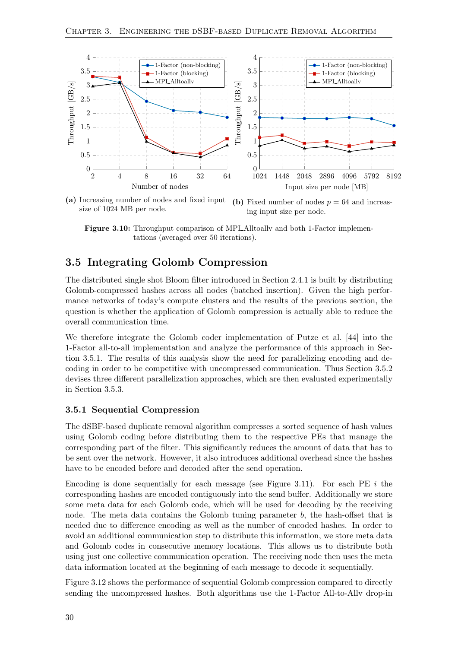<span id="page-37-2"></span>

(a) Increasing number of nodes and fixed input size of 1024 MB per node. (b) Fixed number of nodes  $p = 64$  and increasing input size per node.

Figure 3.10: Throughput comparison of MPI\_Alltoally and both 1-Factor implementations (averaged over 50 iterations).

### <span id="page-37-0"></span>3.5 Integrating Golomb Compression

The distributed single shot Bloom filter introduced in Section [2.4.1](#page-20-1) is built by distributing Golomb-compressed hashes across all nodes (batched insertion). Given the high performance networks of today's compute clusters and the results of the previous section, the question is whether the application of Golomb compression is actually able to reduce the overall communication time.

We therefore integrate the Golomb coder implementation of Putze et al. [\[44\]](#page-62-6) into the 1-Factor all-to-all implementation and analyze the performance of this approach in Section [3.5.1.](#page-37-1) The results of this analysis show the need for parallelizing encoding and decoding in order to be competitive with uncompressed communication. Thus Section [3.5.2](#page-39-0) devises three different parallelization approaches, which are then evaluated experimentally in Section [3.5.3.](#page-43-0)

#### <span id="page-37-1"></span>3.5.1 Sequential Compression

The dSBF-based duplicate removal algorithm compresses a sorted sequence of hash values using Golomb coding before distributing them to the respective PEs that manage the corresponding part of the filter. This significantly reduces the amount of data that has to be sent over the network. However, it also introduces additional overhead since the hashes have to be encoded before and decoded after the send operation.

Encoding is done sequentially for each message (see Figure [3.11\)](#page-38-0). For each PE  $i$  the corresponding hashes are encoded contiguously into the send buffer. Additionally we store some meta data for each Golomb code, which will be used for decoding by the receiving node. The meta data contains the Golomb tuning parameter  $b$ , the hash-offset that is needed due to difference encoding as well as the number of encoded hashes. In order to avoid an additional communication step to distribute this information, we store meta data and Golomb codes in consecutive memory locations. This allows us to distribute both using just one collective communication operation. The receiving node then uses the meta data information located at the beginning of each message to decode it sequentially.

Figure [3.12](#page-38-1) shows the performance of sequential Golomb compression compared to directly sending the uncompressed hashes. Both algorithms use the 1-Factor All-to-Allv drop-in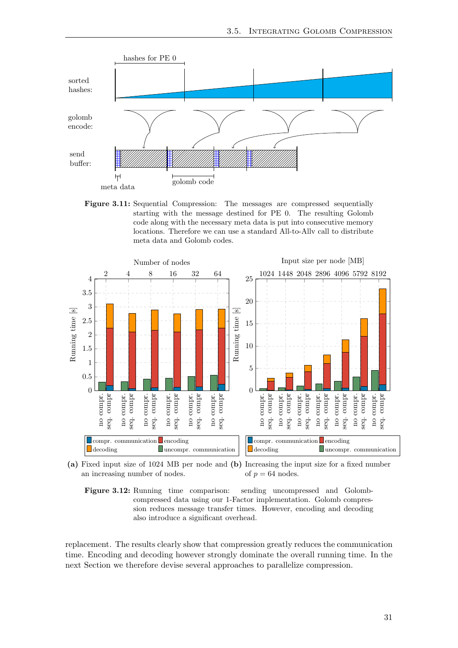<span id="page-38-0"></span>

Figure 3.11: Sequential Compression: The messages are compressed sequentially starting with the message destined for PE 0. The resulting Golomb code along with the necessary meta data is put into consecutive memory locations. Therefore we can use a standard All-to-Allv call to distribute meta data and Golomb codes.

<span id="page-38-1"></span>

(a) Fixed input size of 1024 MB per node and (b) Increasing the input size for a fixed number an increasing number of nodes. of  $p = 64$  nodes.



replacement. The results clearly show that compression greatly reduces the communication time. Encoding and decoding however strongly dominate the overall running time. In the next Section we therefore devise several approaches to parallelize compression.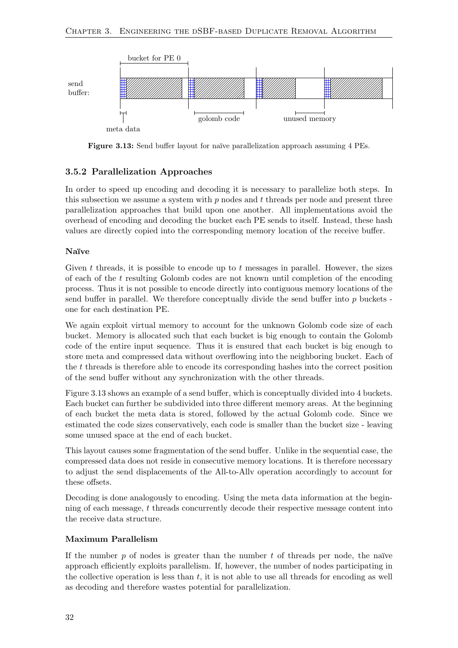<span id="page-39-1"></span>

Figure 3.13: Send buffer layout for naïve parallelization approach assuming 4 PEs.

#### <span id="page-39-0"></span>3.5.2 Parallelization Approaches

In order to speed up encoding and decoding it is necessary to parallelize both steps. In this subsection we assume a system with  $p$  nodes and  $t$  threads per node and present three parallelization approaches that build upon one another. All implementations avoid the overhead of encoding and decoding the bucket each PE sends to itself. Instead, these hash values are directly copied into the corresponding memory location of the receive buffer.

#### Naïve

Given  $t$  threads, it is possible to encode up to  $t$  messages in parallel. However, the sizes of each of the t resulting Golomb codes are not known until completion of the encoding process. Thus it is not possible to encode directly into contiguous memory locations of the send buffer in parallel. We therefore conceptually divide the send buffer into  $p$  buckets one for each destination PE.

We again exploit virtual memory to account for the unknown Golomb code size of each bucket. Memory is allocated such that each bucket is big enough to contain the Golomb code of the entire input sequence. Thus it is ensured that each bucket is big enough to store meta and compressed data without overflowing into the neighboring bucket. Each of the t threads is therefore able to encode its corresponding hashes into the correct position of the send buffer without any synchronization with the other threads.

Figure [3.13](#page-39-1) shows an example of a send buffer, which is conceptually divided into 4 buckets. Each bucket can further be subdivided into three different memory areas. At the beginning of each bucket the meta data is stored, followed by the actual Golomb code. Since we estimated the code sizes conservatively, each code is smaller than the bucket size - leaving some unused space at the end of each bucket.

This layout causes some fragmentation of the send buffer. Unlike in the sequential case, the compressed data does not reside in consecutive memory locations. It is therefore necessary to adjust the send displacements of the All-to-Allv operation accordingly to account for these offsets.

Decoding is done analogously to encoding. Using the meta data information at the beginning of each message, t threads concurrently decode their respective message content into the receive data structure.

#### Maximum Parallelism

If the number  $p$  of nodes is greater than the number  $t$  of threads per node, the naïve approach efficiently exploits parallelism. If, however, the number of nodes participating in the collective operation is less than  $t$ , it is not able to use all threads for encoding as well as decoding and therefore wastes potential for parallelization.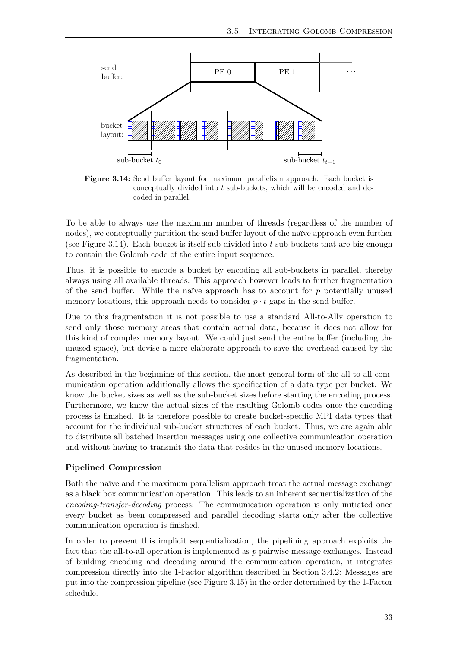<span id="page-40-0"></span>

Figure 3.14: Send buffer layout for maximum parallelism approach. Each bucket is conceptually divided into t sub-buckets, which will be encoded and decoded in parallel.

To be able to always use the maximum number of threads (regardless of the number of nodes), we conceptually partition the send buffer layout of the naïve approach even further (see Figure [3.14\)](#page-40-0). Each bucket is itself sub-divided into t sub-buckets that are big enough to contain the Golomb code of the entire input sequence.

Thus, it is possible to encode a bucket by encoding all sub-buckets in parallel, thereby always using all available threads. This approach however leads to further fragmentation of the send buffer. While the naïve approach has to account for  $p$  potentially unused memory locations, this approach needs to consider  $p \cdot t$  gaps in the send buffer.

Due to this fragmentation it is not possible to use a standard All-to-Allv operation to send only those memory areas that contain actual data, because it does not allow for this kind of complex memory layout. We could just send the entire buffer (including the unused space), but devise a more elaborate approach to save the overhead caused by the fragmentation.

As described in the beginning of this section, the most general form of the all-to-all communication operation additionally allows the specification of a data type per bucket. We know the bucket sizes as well as the sub-bucket sizes before starting the encoding process. Furthermore, we know the actual sizes of the resulting Golomb codes once the encoding process is finished. It is therefore possible to create bucket-specific MPI data types that account for the individual sub-bucket structures of each bucket. Thus, we are again able to distribute all batched insertion messages using one collective communication operation and without having to transmit the data that resides in the unused memory locations.

#### Pipelined Compression

Both the naïve and the maximum parallelism approach treat the actual message exchange as a black box communication operation. This leads to an inherent sequentialization of the encoding-transfer-decoding process: The communication operation is only initiated once every bucket as been compressed and parallel decoding starts only after the collective communication operation is finished.

In order to prevent this implicit sequentialization, the pipelining approach exploits the fact that the all-to-all operation is implemented as p pairwise message exchanges. Instead of building encoding and decoding around the communication operation, it integrates compression directly into the 1-Factor algorithm described in Section [3.4.2:](#page-34-0) Messages are put into the compression pipeline (see Figure [3.15\)](#page-41-0) in the order determined by the 1-Factor schedule.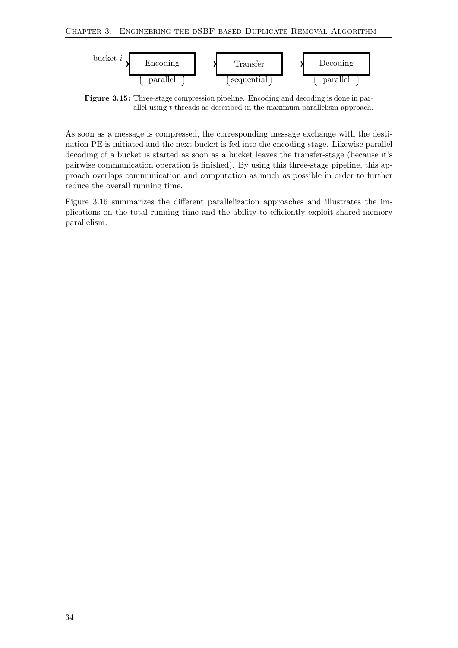<span id="page-41-0"></span>

Figure 3.15: Three-stage compression pipeline. Encoding and decoding is done in parallel using t threads as described in the maximum parallelism approach.

As soon as a message is compressed, the corresponding message exchange with the destination PE is initiated and the next bucket is fed into the encoding stage. Likewise parallel decoding of a bucket is started as soon as a bucket leaves the transfer-stage (because it's pairwise communication operation is finished). By using this three-stage pipeline, this approach overlaps communication and computation as much as possible in order to further reduce the overall running time.

Figure [3.16](#page-42-0) summarizes the different parallelization approaches and illustrates the implications on the total running time and the ability to efficiently exploit shared-memory parallelism.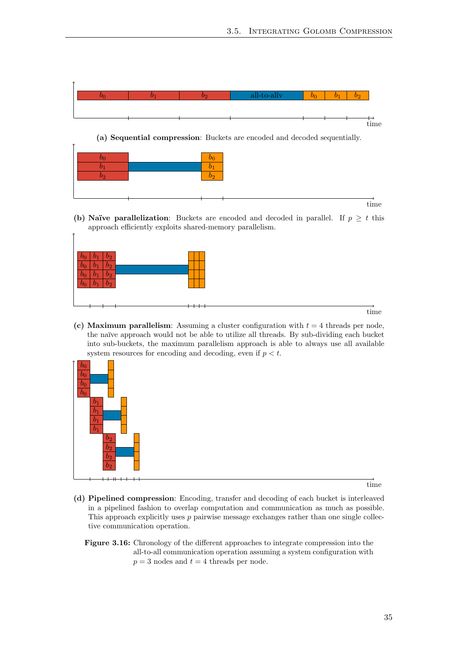<span id="page-42-0"></span>

(a) Sequential compression: Buckets are encoded and decoded sequentially.

(b) Naïve parallelization: Buckets are encoded and decoded in parallel. If  $p \geq t$  this approach efficiently exploits shared-memory parallelism.

| $b_2$<br>$v_0$<br>$v_1$<br>$\overline{b_2}$<br>$\overline{b_0}$<br>$\mathbf{b}_1$<br>$\mathfrak{b}_0$<br>$\lfloor b_2 \rfloor$<br>$b_1$<br>$\overline{b_2}$<br>$\overline{b_1}$ |  |
|---------------------------------------------------------------------------------------------------------------------------------------------------------------------------------|--|
|                                                                                                                                                                                 |  |

time

time

(c) Maximum parallelism: Assuming a cluster configuration with  $t = 4$  threads per node, the na¨ıve approach would not be able to utilize all threads. By sub-dividing each bucket into sub-buckets, the maximum parallelism approach is able to always use all available system resources for encoding and decoding, even if  $p < t$ .



 $\uparrow$ 

time

- (d) Pipelined compression: Encoding, transfer and decoding of each bucket is interleaved in a pipelined fashion to overlap computation and communication as much as possible. This approach explicitly uses  $p$  pairwise message exchanges rather than one single collective communication operation.
	- Figure 3.16: Chronology of the different approaches to integrate compression into the all-to-all communication operation assuming a system configuration with  $p = 3$  nodes and  $t = 4$  threads per node.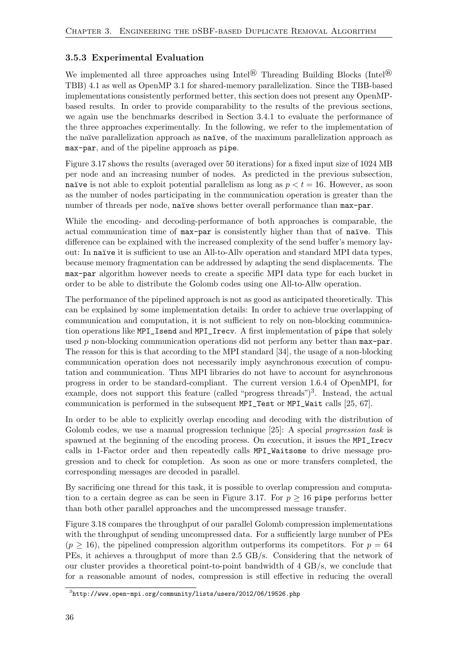#### <span id="page-43-0"></span>3.5.3 Experimental Evaluation

We implemented all three approaches using Intel<sup>®</sup> Threading Building Blocks (Intel<sup>®</sup>) TBB) 4.1 as well as OpenMP 3.1 for shared-memory parallelization. Since the TBB-based implementations consistently performed better, this section does not present any OpenMPbased results. In order to provide comparability to the results of the previous sections, we again use the benchmarks described in Section [3.4.1](#page-32-1) to evaluate the performance of the three approaches experimentally. In the following, we refer to the implementation of the naïve parallelization approach as naïve, of the maximum parallelization approach as max-par, and of the pipeline approach as pipe.

Figure [3.17](#page-44-0) shows the results (averaged over 50 iterations) for a fixed input size of 1024 MB per node and an increasing number of nodes. As predicted in the previous subsection, naïve is not able to exploit potential parallelism as long as  $p < t = 16$ . However, as soon as the number of nodes participating in the communication operation is greater than the number of threads per node, naïve shows better overall performance than  $max-par$ .

While the encoding- and decoding-performance of both approaches is comparable, the actual communication time of max-par is consistently higher than that of naïve. This difference can be explained with the increased complexity of the send buffer's memory layout: In naïve it is sufficient to use an All-to-Ally operation and standard MPI data types, because memory fragmentation can be addressed by adapting the send displacements. The max-par algorithm however needs to create a specific MPI data type for each bucket in order to be able to distribute the Golomb codes using one All-to-Allw operation.

The performance of the pipelined approach is not as good as anticipated theoretically. This can be explained by some implementation details: In order to achieve true overlapping of communication and computation, it is not sufficient to rely on non-blocking communication operations like MPI\_Isend and MPI\_Irecv. A first implementation of pipe that solely used  $p$  non-blocking communication operations did not perform any better than  $max-par$ . The reason for this is that according to the MPI standard [\[34\]](#page-62-14), the usage of a non-blocking communication operation does not necessarily imply asynchronous execution of computation and communication. Thus MPI libraries do not have to account for asynchronous progress in order to be standard-compliant. The current version 1.6.4 of OpenMPI, for example, does not support this feature (called "progress threads")<sup>[3](#page-43-1)</sup>. Instead, the actual communication is performed in the subsequent MPI\_Test or MPI\_Wait calls [\[25,](#page-61-17) [67\]](#page-64-2).

In order to be able to explicitly overlap encoding and decoding with the distribution of Golomb codes, we use a manual progression technique [\[25\]](#page-61-17): A special progression task is spawned at the beginning of the encoding process. On execution, it issues the MPI\_Irecv calls in 1-Factor order and then repeatedly calls MPI\_Waitsome to drive message progression and to check for completion. As soon as one or more transfers completed, the corresponding messages are decoded in parallel.

By sacrificing one thread for this task, it is possible to overlap compression and computa-tion to a certain degree as can be seen in Figure [3.17.](#page-44-0) For  $p \ge 16$  pipe performs better than both other parallel approaches and the uncompressed message transfer.

Figure [3.18](#page-45-2) compares the throughput of our parallel Golomb compression implementations with the throughput of sending uncompressed data. For a sufficiently large number of PEs  $(p \ge 16)$ , the pipelined compression algorithm outperforms its competitors. For  $p = 64$ PEs, it achieves a throughput of more than 2.5 GB/s. Considering that the network of our cluster provides a theoretical point-to-point bandwidth of 4 GB/s, we conclude that for a reasonable amount of nodes, compression is still effective in reducing the overall

<span id="page-43-1"></span> $^3$ <http://www.open-mpi.org/community/lists/users/2012/06/19526.php>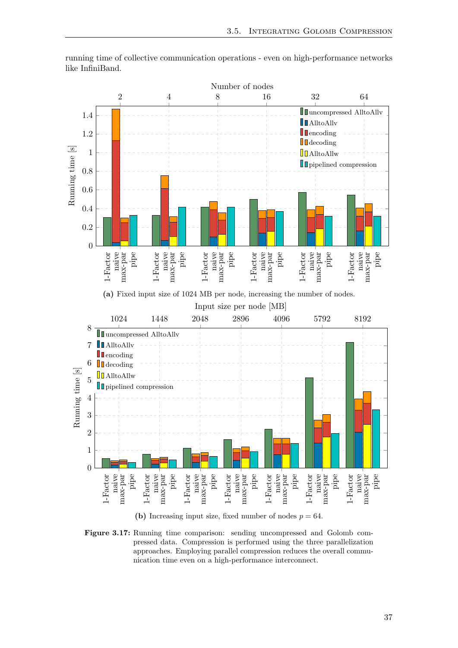<span id="page-44-0"></span>

running time of collective communication operations - even on high-performance networks like InfiniBand.

(b) Increasing input size, fixed number of nodes  $p = 64$ .

Figure 3.17: Running time comparison: sending uncompressed and Golomb compressed data. Compression is performed using the three parallelization approaches. Employing parallel compression reduces the overall communication time even on a high-performance interconnect.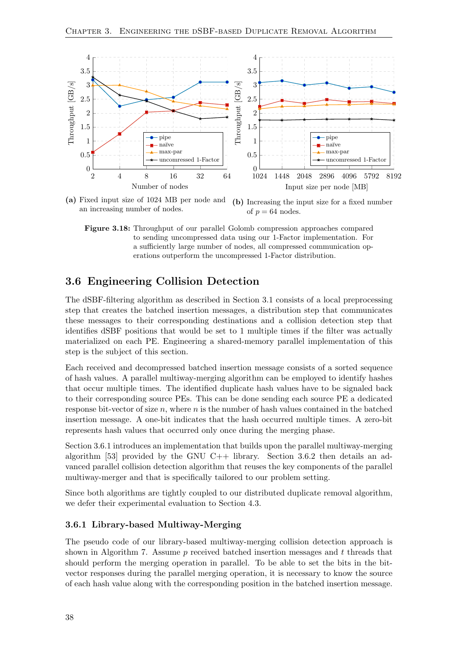<span id="page-45-2"></span>

(a) Fixed input size of 1024 MB per node and an increasing number of nodes. (b) Increasing the input size for a fixed number of  $p = 64$  nodes.

Figure 3.18: Throughput of our parallel Golomb compression approaches compared to sending uncompressed data using our 1-Factor implementation. For a sufficiently large number of nodes, all compressed communication operations outperform the uncompressed 1-Factor distribution.

### <span id="page-45-0"></span>3.6 Engineering Collision Detection

The dSBF-filtering algorithm as described in Section [3.1](#page-22-1) consists of a local preprocessing step that creates the batched insertion messages, a distribution step that communicates these messages to their corresponding destinations and a collision detection step that identifies dSBF positions that would be set to 1 multiple times if the filter was actually materialized on each PE. Engineering a shared-memory parallel implementation of this step is the subject of this section.

Each received and decompressed batched insertion message consists of a sorted sequence of hash values. A parallel multiway-merging algorithm can be employed to identify hashes that occur multiple times. The identified duplicate hash values have to be signaled back to their corresponding source PEs. This can be done sending each source PE a dedicated response bit-vector of size  $n$ , where  $n$  is the number of hash values contained in the batched insertion message. A one-bit indicates that the hash occurred multiple times. A zero-bit represents hash values that occurred only once during the merging phase.

Section [3.6.1](#page-45-1) introduces an implementation that builds upon the parallel multiway-merging algorithm  $[53]$  provided by the GNU C++ library. Section [3.6.2](#page-46-0) then details an advanced parallel collision detection algorithm that reuses the key components of the parallel multiway-merger and that is specifically tailored to our problem setting.

Since both algorithms are tightly coupled to our distributed duplicate removal algorithm, we defer their experimental evaluation to Section [4.3.](#page-50-0)

#### <span id="page-45-1"></span>3.6.1 Library-based Multiway-Merging

The pseudo code of our library-based multiway-merging collision detection approach is shown in Algorithm [7.](#page-46-1) Assume  $p$  received batched insertion messages and  $t$  threads that should perform the merging operation in parallel. To be able to set the bits in the bitvector responses during the parallel merging operation, it is necessary to know the source of each hash value along with the corresponding position in the batched insertion message.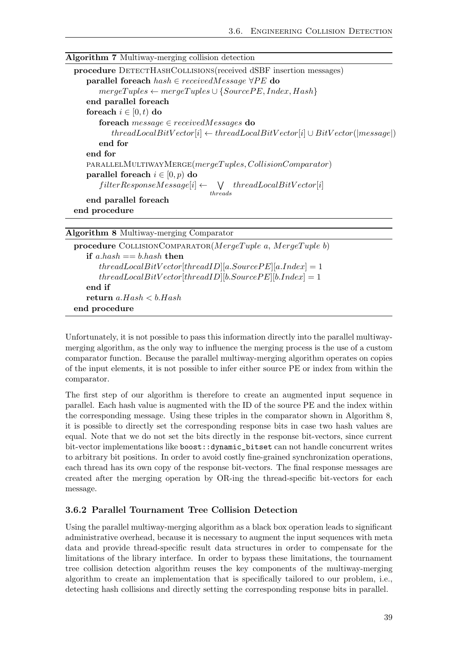<span id="page-46-1"></span>

| <b>Algorithm 7</b> Multiway-merging collision detection                                |
|----------------------------------------------------------------------------------------|
| procedure DETECTHASHCOLLISIONS (received dSBF insertion messages)                      |
| <b>parallel for<br/>each</b> $hash \in receivedMessage \forall PE$ do                  |
| $mergeTuples \leftarrow mergeTuples \cup \{SourcePE, Index, Hash\}$                    |
| end parallel foreach                                                                   |
| foreach $i \in [0, t)$ do                                                              |
| for each $message \in receivedMessages$ do                                             |
| $threadLocalBitVector[i] \leftarrow threadLocalBitVector[i] \cup BitVector( message )$ |
| end for                                                                                |
| end for                                                                                |
| PARALLELMULTIWAYMERGE(mergeTuples, CollisionComparator)                                |
| parallel foreach $i \in [0, p)$ do                                                     |
| $filterResponseMessage[i] \leftarrow \forall threadLocalBitVector[i]$<br>threads       |
| end parallel foreach                                                                   |
| end procedure                                                                          |
|                                                                                        |
| <b>Algorithm 8 Multiway-merging Comparator</b>                                         |

<span id="page-46-2"></span>

| procedure COLLISIONCOMPARATOR( $MergeTuple$ a, $MergeTuple$ b) |  |  |  |  |
|----------------------------------------------------------------|--|--|--|--|
| if a hash $== b$ hash then                                     |  |  |  |  |
| $threadLocalBitVector[threadID][a.SourcePE][a.Index] = 1$      |  |  |  |  |
| $threadLocalBitVector[threadID][b.SourcePE][b.Index] = 1$      |  |  |  |  |
| end if                                                         |  |  |  |  |
| return $a.Hash < b.Hash$                                       |  |  |  |  |
| end procedure                                                  |  |  |  |  |
|                                                                |  |  |  |  |

Unfortunately, it is not possible to pass this information directly into the parallel multiwaymerging algorithm, as the only way to influence the merging process is the use of a custom comparator function. Because the parallel multiway-merging algorithm operates on copies of the input elements, it is not possible to infer either source PE or index from within the comparator.

The first step of our algorithm is therefore to create an augmented input sequence in parallel. Each hash value is augmented with the ID of the source PE and the index within the corresponding message. Using these triples in the comparator shown in Algorithm [8,](#page-46-2) it is possible to directly set the corresponding response bits in case two hash values are equal. Note that we do not set the bits directly in the response bit-vectors, since current bit-vector implementations like boost::dynamic\_bitset can not handle concurrent writes to arbitrary bit positions. In order to avoid costly fine-grained synchronization operations, each thread has its own copy of the response bit-vectors. The final response messages are created after the merging operation by OR-ing the thread-specific bit-vectors for each message.

#### <span id="page-46-0"></span>3.6.2 Parallel Tournament Tree Collision Detection

Using the parallel multiway-merging algorithm as a black box operation leads to significant administrative overhead, because it is necessary to augment the input sequences with meta data and provide thread-specific result data structures in order to compensate for the limitations of the library interface. In order to bypass these limitations, the tournament tree collision detection algorithm reuses the key components of the multiway-merging algorithm to create an implementation that is specifically tailored to our problem, i.e., detecting hash collisions and directly setting the corresponding response bits in parallel.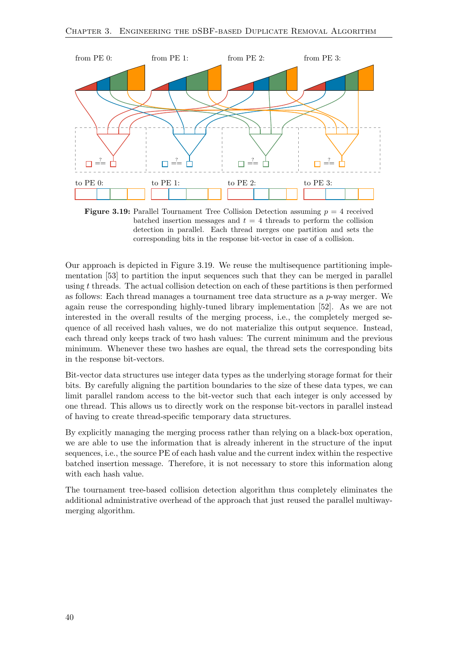<span id="page-47-0"></span>

**Figure 3.19:** Parallel Tournament Tree Collision Detection assuming  $p = 4$  received batched insertion messages and  $t = 4$  threads to perform the collision detection in parallel. Each thread merges one partition and sets the corresponding bits in the response bit-vector in case of a collision.

Our approach is depicted in Figure [3.19.](#page-47-0) We reuse the multisequence partitioning implementation [\[53\]](#page-63-16) to partition the input sequences such that they can be merged in parallel using t threads. The actual collision detection on each of these partitions is then performed as follows: Each thread manages a tournament tree data structure as a  $p$ -way merger. We again reuse the corresponding highly-tuned library implementation [\[52\]](#page-63-15). As we are not interested in the overall results of the merging process, i.e., the completely merged sequence of all received hash values, we do not materialize this output sequence. Instead, each thread only keeps track of two hash values: The current minimum and the previous minimum. Whenever these two hashes are equal, the thread sets the corresponding bits in the response bit-vectors.

Bit-vector data structures use integer data types as the underlying storage format for their bits. By carefully aligning the partition boundaries to the size of these data types, we can limit parallel random access to the bit-vector such that each integer is only accessed by one thread. This allows us to directly work on the response bit-vectors in parallel instead of having to create thread-specific temporary data structures.

By explicitly managing the merging process rather than relying on a black-box operation, we are able to use the information that is already inherent in the structure of the input sequences, i.e., the source PE of each hash value and the current index within the respective batched insertion message. Therefore, it is not necessary to store this information along with each hash value.

The tournament tree-based collision detection algorithm thus completely eliminates the additional administrative overhead of the approach that just reused the parallel multiwaymerging algorithm.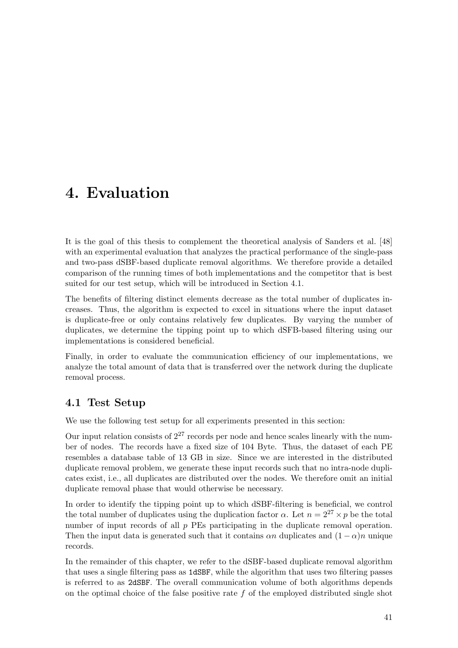## <span id="page-48-0"></span>4. Evaluation

It is the goal of this thesis to complement the theoretical analysis of Sanders et al. [\[48\]](#page-62-0) with an experimental evaluation that analyzes the practical performance of the single-pass and two-pass dSBF-based duplicate removal algorithms. We therefore provide a detailed comparison of the running times of both implementations and the competitor that is best suited for our test setup, which will be introduced in Section [4.1.](#page-48-1)

The benefits of filtering distinct elements decrease as the total number of duplicates increases. Thus, the algorithm is expected to excel in situations where the input dataset is duplicate-free or only contains relatively few duplicates. By varying the number of duplicates, we determine the tipping point up to which dSFB-based filtering using our implementations is considered beneficial.

Finally, in order to evaluate the communication efficiency of our implementations, we analyze the total amount of data that is transferred over the network during the duplicate removal process.

## <span id="page-48-1"></span>4.1 Test Setup

We use the following test setup for all experiments presented in this section:

Our input relation consists of  $2^{27}$  records per node and hence scales linearly with the number of nodes. The records have a fixed size of 104 Byte. Thus, the dataset of each PE resembles a database table of 13 GB in size. Since we are interested in the distributed duplicate removal problem, we generate these input records such that no intra-node duplicates exist, i.e., all duplicates are distributed over the nodes. We therefore omit an initial duplicate removal phase that would otherwise be necessary.

In order to identify the tipping point up to which dSBF-filtering is beneficial, we control the total number of duplicates using the duplication factor  $\alpha$ . Let  $n = 2^{27} \times p$  be the total number of input records of all  $p$  PEs participating in the duplicate removal operation. Then the input data is generated such that it contains  $\alpha n$  duplicates and  $(1 - \alpha)n$  unique records.

In the remainder of this chapter, we refer to the dSBF-based duplicate removal algorithm that uses a single filtering pass as 1dSBF, while the algorithm that uses two filtering passes is referred to as 2dSBF. The overall communication volume of both algorithms depends on the optimal choice of the false positive rate  $f$  of the employed distributed single shot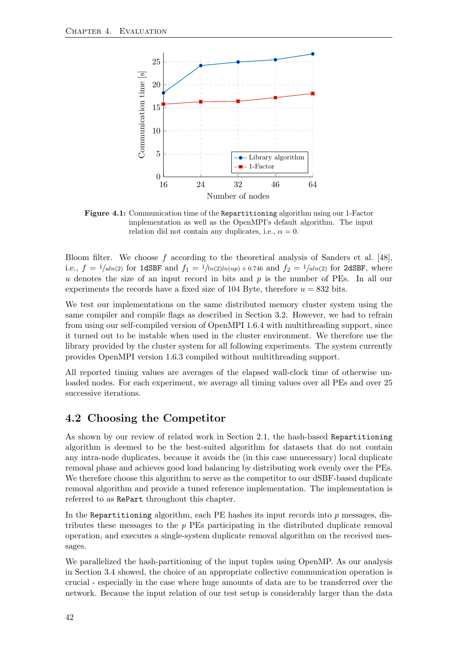<span id="page-49-1"></span>

Figure 4.1: Communication time of the Repartitioning algorithm using our 1-Factor implementation as well as the OpenMPI's default algorithm. The input relation did not contain any duplicates, i.e.,  $\alpha = 0$ .

Bloom filter. We choose  $f$  according to the theoretical analysis of Sanders et al. [\[48\]](#page-62-0), i.e.,  $f = 1/uh(2)$  for 1dSBF and  $f_1 = 1/lh(2)ln(up) + 0.746$  and  $f_2 = 1/uh(2)$  for 2dSBF, where u denotes the size of an input record in bits and  $p$  is the number of PEs. In all our experiments the records have a fixed size of 104 Byte, therefore  $u = 832$  bits.

We test our implementations on the same distributed memory cluster system using the same compiler and compile flags as described in Section [3.2.](#page-26-1) However, we had to refrain from using our self-compiled version of OpenMPI 1.6.4 with multithreading support, since it turned out to be instable when used in the cluster environment. We therefore use the library provided by the cluster system for all following experiments. The system currently provides OpenMPI version 1.6.3 compiled without multithreading support.

All reported timing values are averages of the elapsed wall-clock time of otherwise unloaded nodes. For each experiment, we average all timing values over all PEs and over 25 successive iterations.

## <span id="page-49-0"></span>4.2 Choosing the Competitor

As shown by our review of related work in Section [2.1,](#page-12-1) the hash-based Repartitioning algorithm is deemed to be the best-suited algorithm for datasets that do not contain any intra-node duplicates, because it avoids the (in this case unnecessary) local duplicate removal phase and achieves good load balancing by distributing work evenly over the PEs. We therefore choose this algorithm to serve as the competitor to our dSBF-based duplicate removal algorithm and provide a tuned reference implementation. The implementation is referred to as RePart throughout this chapter.

In the Repartitioning algorithm, each PE hashes its input records into  $p$  messages, distributes these messages to the  $p$  PEs participating in the distributed duplicate removal operation, and executes a single-system duplicate removal algorithm on the received messages.

We parallelized the hash-partitioning of the input tuples using OpenMP. As our analysis in Section [3.4](#page-32-0) showed, the choice of an appropriate collective communication operation is crucial - especially in the case where huge amounts of data are to be transferred over the network. Because the input relation of our test setup is considerably larger than the data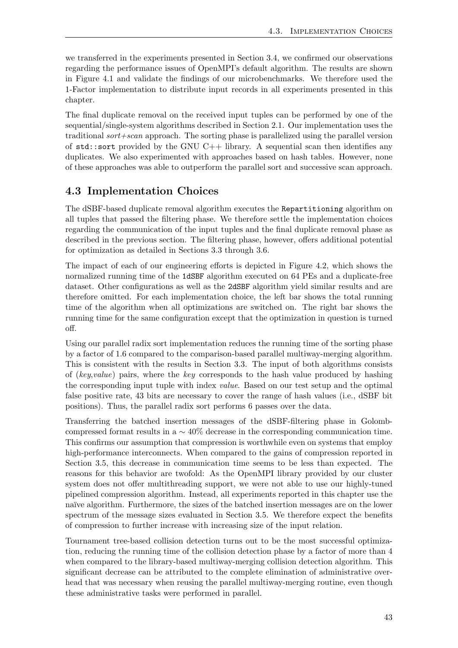we transferred in the experiments presented in Section [3.4,](#page-32-0) we confirmed our observations regarding the performance issues of OpenMPI's default algorithm. The results are shown in Figure [4.1](#page-49-1) and validate the findings of our microbenchmarks. We therefore used the 1-Factor implementation to distribute input records in all experiments presented in this chapter.

The final duplicate removal on the received input tuples can be performed by one of the sequential/single-system algorithms described in Section [2.1.](#page-12-1) Our implementation uses the traditional sort+scan approach. The sorting phase is parallelized using the parallel version of  $std::sort$  provided by the GNU C++ library. A sequential scan then identifies any duplicates. We also experimented with approaches based on hash tables. However, none of these approaches was able to outperform the parallel sort and successive scan approach.

## <span id="page-50-0"></span>4.3 Implementation Choices

The dSBF-based duplicate removal algorithm executes the Repartitioning algorithm on all tuples that passed the filtering phase. We therefore settle the implementation choices regarding the communication of the input tuples and the final duplicate removal phase as described in the previous section. The filtering phase, however, offers additional potential for optimization as detailed in Sections [3.3](#page-26-2) through [3.6.](#page-45-0)

The impact of each of our engineering efforts is depicted in Figure [4.2,](#page-51-1) which shows the normalized running time of the 1dSBF algorithm executed on 64 PEs and a duplicate-free dataset. Other configurations as well as the 2dSBF algorithm yield similar results and are therefore omitted. For each implementation choice, the left bar shows the total running time of the algorithm when all optimizations are switched on. The right bar shows the running time for the same configuration except that the optimization in question is turned off.

Using our parallel radix sort implementation reduces the running time of the sorting phase by a factor of 1.6 compared to the comparison-based parallel multiway-merging algorithm. This is consistent with the results in Section [3.3.](#page-26-2) The input of both algorithms consists of (key,value) pairs, where the key corresponds to the hash value produced by hashing the corresponding input tuple with index value. Based on our test setup and the optimal false positive rate, 43 bits are necessary to cover the range of hash values (i.e., dSBF bit positions). Thus, the parallel radix sort performs 6 passes over the data.

Transferring the batched insertion messages of the dSBF-filtering phase in Golombcompressed format results in a  $\sim$  40% decrease in the corresponding communication time. This confirms our assumption that compression is worthwhile even on systems that employ high-performance interconnects. When compared to the gains of compression reported in Section [3.5,](#page-37-0) this decrease in communication time seems to be less than expected. The reasons for this behavior are twofold: As the OpenMPI library provided by our cluster system does not offer multithreading support, we were not able to use our highly-tuned pipelined compression algorithm. Instead, all experiments reported in this chapter use the naïve algorithm. Furthermore, the sizes of the batched insertion messages are on the lower spectrum of the message sizes evaluated in Section [3.5.](#page-37-0) We therefore expect the benefits of compression to further increase with increasing size of the input relation.

Tournament tree-based collision detection turns out to be the most successful optimization, reducing the running time of the collision detection phase by a factor of more than 4 when compared to the library-based multiway-merging collision detection algorithm. This significant decrease can be attributed to the complete elimination of administrative overhead that was necessary when reusing the parallel multiway-merging routine, even though these administrative tasks were performed in parallel.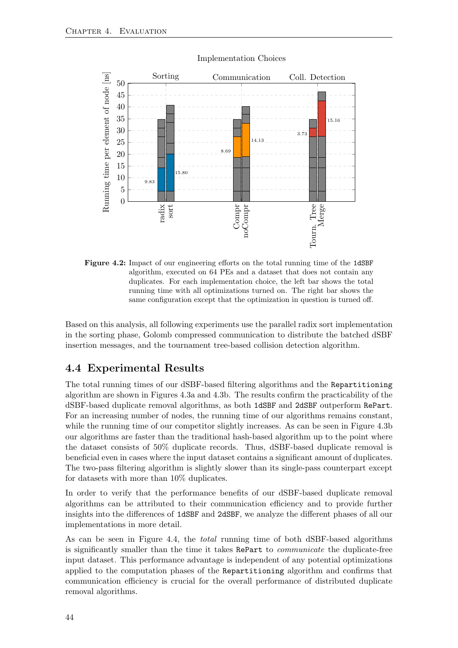<span id="page-51-1"></span>

#### Implementation Choices

Figure 4.2: Impact of our engineering efforts on the total running time of the 1dSBF algorithm, executed on 64 PEs and a dataset that does not contain any duplicates. For each implementation choice, the left bar shows the total running time with all optimizations turned on. The right bar shows the same configuration except that the optimization in question is turned off.

Based on this analysis, all following experiments use the parallel radix sort implementation in the sorting phase, Golomb compressed communication to distribute the batched dSBF insertion messages, and the tournament tree-based collision detection algorithm.

### <span id="page-51-0"></span>4.4 Experimental Results

The total running times of our dSBF-based filtering algorithms and the Repartitioning algorithm are shown in Figures [4.3a](#page-52-0) and [4.3b.](#page-52-0) The results confirm the practicability of the dSBF-based duplicate removal algorithms, as both 1dSBF and 2dSBF outperform RePart. For an increasing number of nodes, the running time of our algorithms remains constant, while the running time of our competitor slightly increases. As can be seen in Figure [4.3b](#page-52-0) our algorithms are faster than the traditional hash-based algorithm up to the point where the dataset consists of 50% duplicate records. Thus, dSBF-based duplicate removal is beneficial even in cases where the input dataset contains a significant amount of duplicates. The two-pass filtering algorithm is slightly slower than its single-pass counterpart except for datasets with more than 10% duplicates.

In order to verify that the performance benefits of our dSBF-based duplicate removal algorithms can be attributed to their communication efficiency and to provide further insights into the differences of 1dSBF and 2dSBF, we analyze the different phases of all our implementations in more detail.

As can be seen in Figure [4.4,](#page-52-1) the total running time of both dSBF-based algorithms is significantly smaller than the time it takes RePart to communicate the duplicate-free input dataset. This performance advantage is independent of any potential optimizations applied to the computation phases of the Repartitioning algorithm and confirms that communication efficiency is crucial for the overall performance of distributed duplicate removal algorithms.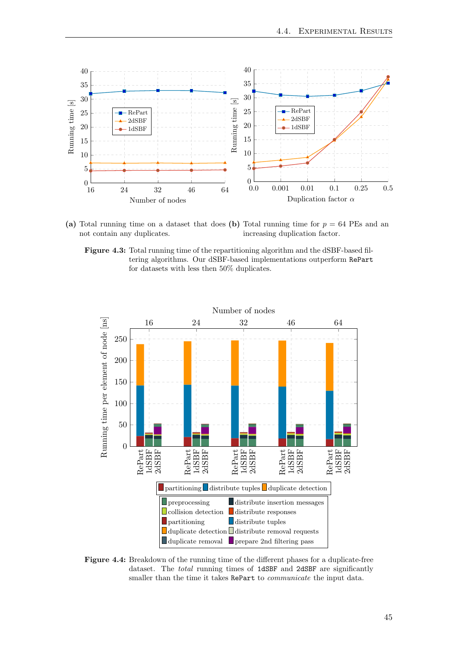<span id="page-52-0"></span>

(a) Total running time on a dataset that does (b) Total running time for  $p = 64$  PEs and an not contain any duplicates. increasing duplication factor.

Figure 4.3: Total running time of the repartitioning algorithm and the dSBF-based filtering algorithms. Our dSBF-based implementations outperform RePart for datasets with less then 50% duplicates.

<span id="page-52-1"></span>

Figure 4.4: Breakdown of the running time of the different phases for a duplicate-free dataset. The total running times of 1dSBF and 2dSBF are significantly smaller than the time it takes RePart to communicate the input data.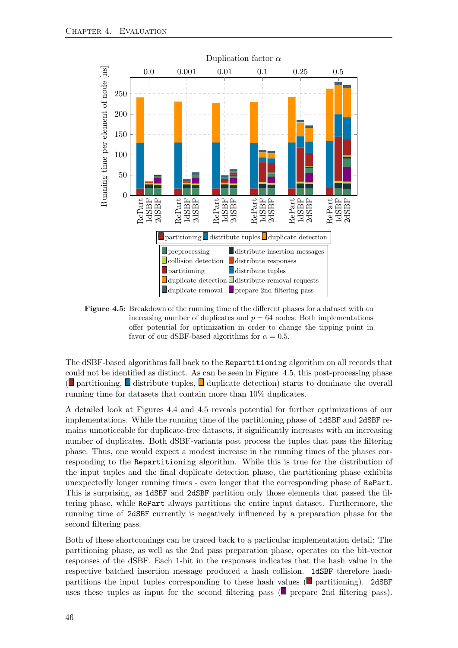<span id="page-53-0"></span>

<span id="page-53-1"></span>Figure 4.5: Breakdown of the running time of the different phases for a dataset with an increasing number of duplicates and  $p = 64$  nodes. Both implementations offer potential for optimization in order to change the tipping point in favor of our dSBF-based algorithms for  $\alpha = 0.5$ .

The dSBF-based algorithms fall back to the Repartitioning algorithm on all records that could not be ide[nti](#page-53-1)fied as distinct. A[s c](#page-53-1)an be seen in Figure [4.5,](#page-53-0) this post-processing phase  $\Box$  partitioning,  $\Box$  distribute tuples,  $\Box$  duplicate detection) starts to dominate the overall running time for datasets that contain more than 10% duplicates.

A detailed look at Figures [4.4](#page-52-1) and [4.5](#page-53-0) reveals potential for further optimizations of our implementations. While the running time of the partitioning phase of 1dSBF and 2dSBF remains unnoticeable for duplicate-free datasets, it significantly increases with an increasing number of duplicates. Both dSBF-variants post process the tuples that pass the filtering phase. Thus, one would expect a modest increase in the running times of the phases corresponding to the Repartitioning algorithm. While this is true for the distribution of the input tuples and the final duplicate detection phase, the partitioning phase exhibits unexpectedly longer running times - even longer that the corresponding phase of RePart. This is surprising, as 1dSBF and 2dSBF partition only those elements that passed the filtering phase, while RePart always partitions the entire input dataset. Furthermore, the running time of 2dSBF currently is negatively influenced by a preparation phase for the second filtering pass.

Both of these shortcomings can be traced back to a particular implementation detail: The partitioning phase, as well as the 2nd pass preparation phase, operates on the bit-vector responses of the dSBF. Each 1-bit in the responses indicates that the hash value in the respective batched insertion message produced a hash collision. 1dSBF therefore hash-partitions the input tuples corresponding to these hash values [\(](#page-53-1) $\blacksquare$  partitioning). 2dSBF uses these tuples as input for the second filtering pass [\(](#page-53-1) $\Box$  prepare 2nd filtering pass).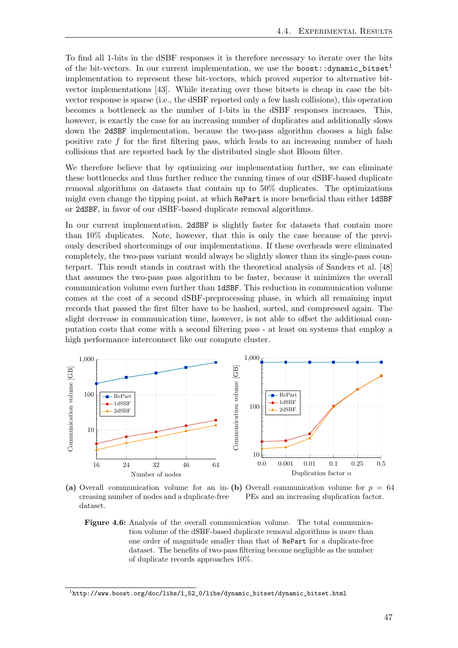To find all 1-bits in the dSBF responses it is therefore necessary to iterate over the bits of the bit-vectors. In our current implementation, we use the boost:: $d$ ynamic\_bitset<sup>[1](#page-54-1)</sup> implementation to represent these bit-vectors, which proved superior to alternative bitvector implementations [\[43\]](#page-62-16). While iterating over these bitsets is cheap in case the bitvector response is sparse (i.e., the dSBF reported only a few hash collisions), this operation becomes a bottleneck as the number of 1-bits in the dSBF responses increases. This, however, is exactly the case for an increasing number of duplicates and additionally slows down the 2dSBF implementation, because the two-pass algorithm chooses a high false positive rate f for the first filtering pass, which leads to an increasing number of hash collisions that are reported back by the distributed single shot Bloom filter.

We therefore believe that by optimizing our implementation further, we can eliminate these bottlenecks and thus further reduce the running times of our dSBF-based duplicate removal algorithms on datasets that contain up to 50% duplicates. The optimizations might even change the tipping point, at which RePart is more beneficial than either 1dSBF or 2dSBF, in favor of our dSBF-based duplicate removal algorithms.

In our current implementation, 2dSBF is slightly faster for datasets that contain more than 10% duplicates. Note, however, that this is only the case because of the previously described shortcomings of our implementations. If these overheads were eliminated completely, the two-pass variant would always be slightly slower than its single-pass counterpart. This result stands in contrast with the theoretical analysis of Sanders et al. [\[48\]](#page-62-0) that assumes the two-pass pass algorithm to be faster, because it minimizes the overall communication volume even further than 1dSBF. This reduction in communication volume comes at the cost of a second dSBF-preprocessing phase, in which all remaining input records that passed the first filter have to be hashed, sorted, and compressed again. The slight decrease in communication time, however, is not able to offset the additional computation costs that come with a second filtering pass - at least on systems that employ a high performance interconnect like our compute cluster.

<span id="page-54-0"></span>

(a) Overall communication volume for an in- (b) Overall communication volume for  $p = 64$ creasing number of nodes and a duplicate-free dataset. PEs and an increasing duplication factor.

Figure 4.6: Analysis of the overall communication volume. The total communication volume of the dSBF-based duplicate removal algorithms is more than one order of magnitude smaller than that of RePart for a duplicate-free dataset. The benefits of two-pass filtering become negligible as the number of duplicate records approaches 10%.

<span id="page-54-1"></span> $^{\rm 1}$ [http://www.boost.org/doc/libs/1\\_52\\_0/libs/dynamic\\_bitset/dynamic\\_bitset.html](http://www.boost.org/doc/libs/1_52_0/libs/dynamic_bitset/dynamic_bitset.html)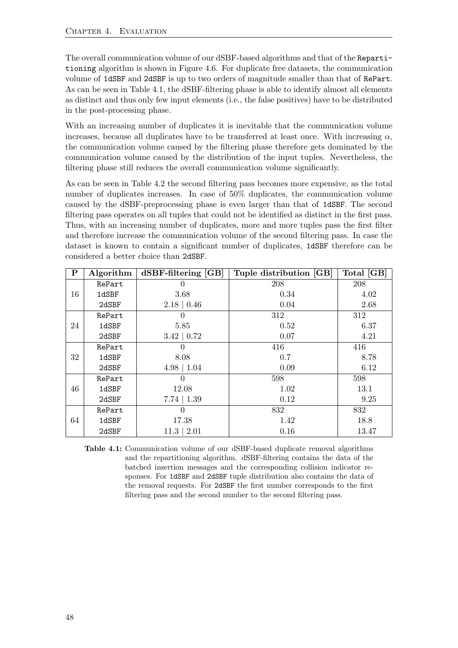The overall communication volume of our dSBF-based algorithms and that of the Repartitioning algorithm is shown in Figure [4.6.](#page-54-0) For duplicate free datasets, the communication volume of 1dSBF and 2dSBF is up to two orders of magnitude smaller than that of RePart. As can be seen in Table [4.1,](#page-55-0) the dSBF-filtering phase is able to identify almost all elements as distinct and thus only few input elements (i.e., the false positives) have to be distributed in the post-processing phase.

With an increasing number of duplicates it is inevitable that the communication volume increases, because all duplicates have to be transferred at least once. With increasing  $\alpha$ , the communication volume caused by the filtering phase therefore gets dominated by the communication volume caused by the distribution of the input tuples. Nevertheless, the filtering phase still reduces the overall communication volume significantly.

As can be seen in Table [4.2](#page-56-0) the second filtering pass becomes more expensive, as the total number of duplicates increases. In case of 50% duplicates, the communication volume caused by the dSBF-preprocessing phase is even larger than that of 1dSBF. The second filtering pass operates on all tuples that could not be identified as distinct in the first pass. Thus, with an increasing number of duplicates, more and more tuples pass the first filter and therefore increase the communication volume of the second filtering pass. In case the dataset is known to contain a significant number of duplicates, 1dSBF therefore can be considered a better choice than 2dSBF.

<span id="page-55-0"></span>

| $\mathbf P$ | Algorithm | $dSBF\text{-filtering}$ [GB] | Tuple distribution [GB] | Total [GB] |
|-------------|-----------|------------------------------|-------------------------|------------|
|             | RePart    |                              | 208                     | 208        |
| 16          | 1dSBF     | 3.68                         | 0.34                    | 4.02       |
|             | 2dSBF     | $2.18 \mid 0.46$             | 0.04                    | 2.68       |
|             | RePart    |                              | 312                     | 312        |
| 24          | 1dSBF     | 5.85                         | 0.52                    | 6.37       |
|             | 2dSBF     | $3.42 \mid 0.72$             | 0.07                    | 4.21       |
|             | RePart    |                              | 416                     | 416        |
| 32          | 1dSBF     | 8.08                         | 0.7                     | 8.78       |
|             | 2dSBF     | $4.98 \mid 1.04$             | 0.09                    | 6.12       |
|             | RePart    |                              | 598                     | 598        |
| 46          | 1dSBF     | 12.08                        | 1.02                    | 13.1       |
|             | 2dSBF     | $7.74 \mid 1.39$             | 0.12                    | 9.25       |
|             | RePart    |                              | 832                     | 832        |
| 64          | 1dSBF     | 17.38                        | 1.42                    | 18.8       |
|             | 2dSBF     | $11.3 \mid 2.01$             | 0.16                    | 13.47      |

Table 4.1: Communication volume of our dSBF-based duplicate removal algorithms and the repartitioning algorithm. dSBF-filtering contains the data of the batched insertion messages and the corresponding collision indicator responses. For 1dSBF and 2dSBF tuple distribution also contains the data of the removal requests. For 2dSBF the first number corresponds to the first filtering pass and the second number to the second filtering pass.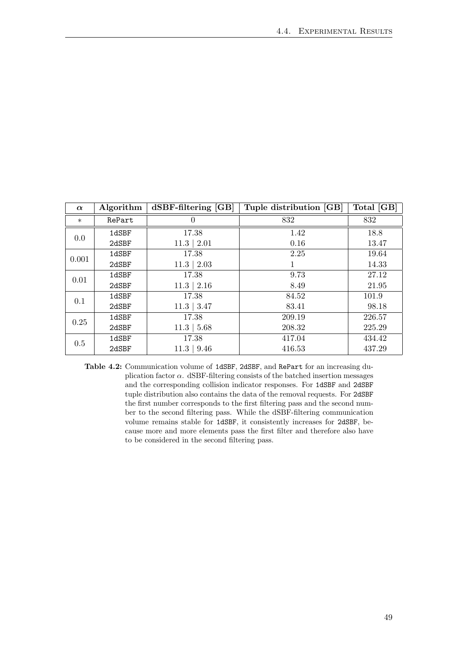<span id="page-56-0"></span>

| $\alpha$ | Algorithm | $dSBF\text{-filtering}$ [GB] | Tuple distribution [GB] | Total [GB] |
|----------|-----------|------------------------------|-------------------------|------------|
| $\ast$   | RePart    | 0                            | 832                     | 832        |
| 0.0      | 1dSBF     | 17.38                        | 1.42                    | 18.8       |
|          | 2dSBF     | $11.3 \mid 2.01$             | 0.16                    | 13.47      |
| 0.001    | 1dSBF     | 17.38                        | 2.25                    | 19.64      |
|          | 2dSBF     | $11.3 \mid 2.03$             |                         | 14.33      |
| 0.01     | 1dSBF     | 17.38                        | 9.73                    | 27.12      |
|          | 2dSBF     | $11.3 \mid 2.16$             | 8.49                    | 21.95      |
| 0.1      | 1dSBF     | 17.38                        | 84.52                   | 101.9      |
|          | 2dSBF     | $11.3 \mid 3.47$             | 83.41                   | 98.18      |
| 0.25     | 1dSBF     | 17.38                        | 209.19                  | 226.57     |
|          | 2dSBF     | $11.3 \mid 5.68$             | 208.32                  | 225.29     |
| 0.5      | 1dSBF     | 17.38                        | 417.04                  | 434.42     |
|          | 2dSBF     | $11.3 \mid 9.46$             | 416.53                  | 437.29     |

Table 4.2: Communication volume of 1dSBF, 2dSBF, and RePart for an increasing duplication factor  $\alpha$ . dSBF-filtering consists of the batched insertion messages and the corresponding collision indicator responses. For 1dSBF and 2dSBF tuple distribution also contains the data of the removal requests. For 2dSBF the first number corresponds to the first filtering pass and the second number to the second filtering pass. While the dSBF-filtering communication volume remains stable for 1dSBF, it consistently increases for 2dSBF, because more and more elements pass the first filter and therefore also have to be considered in the second filtering pass.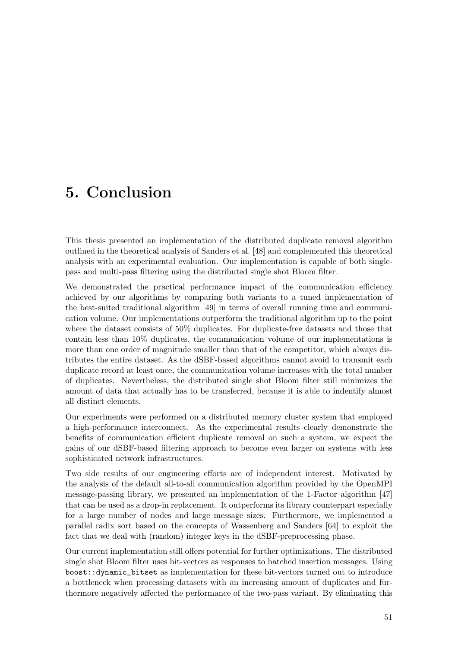## <span id="page-58-0"></span>5. Conclusion

This thesis presented an implementation of the distributed duplicate removal algorithm outlined in the theoretical analysis of Sanders et al. [\[48\]](#page-62-0) and complemented this theoretical analysis with an experimental evaluation. Our implementation is capable of both singlepass and multi-pass filtering using the distributed single shot Bloom filter.

We demonstrated the practical performance impact of the communication efficiency achieved by our algorithms by comparing both variants to a tuned implementation of the best-suited traditional algorithm [\[49\]](#page-63-0) in terms of overall running time and communication volume. Our implementations outperform the traditional algorithm up to the point where the dataset consists of 50% duplicates. For duplicate-free datasets and those that contain less than 10% duplicates, the communication volume of our implementations is more than one order of magnitude smaller than that of the competitor, which always distributes the entire dataset. As the dSBF-based algorithms cannot avoid to transmit each duplicate record at least once, the communication volume increases with the total number of duplicates. Nevertheless, the distributed single shot Bloom filter still minimizes the amount of data that actually has to be transferred, because it is able to indentify almost all distinct elements.

Our experiments were performed on a distributed memory cluster system that employed a high-performance interconnect. As the experimental results clearly demonstrate the benefits of communication efficient duplicate removal on such a system, we expect the gains of our dSBF-based filtering approach to become even larger on systems with less sophisticated network infrastructures.

Two side results of our engineering efforts are of independent interest. Motivated by the analysis of the default all-to-all communication algorithm provided by the OpenMPI message-passing library, we presented an implementation of the 1-Factor algorithm [\[47\]](#page-62-2) that can be used as a drop-in replacement. It outperforms its library counterpart especially for a large number of nodes and large message sizes. Furthermore, we implemented a parallel radix sort based on the concepts of Wassenberg and Sanders [\[64\]](#page-63-5) to exploit the fact that we deal with (random) integer keys in the dSBF-preprocessing phase.

Our current implementation still offers potential for further optimizations. The distributed single shot Bloom filter uses bit-vectors as responses to batched insertion messages. Using boost::dynamic\_bitset as implementation for these bit-vectors turned out to introduce a bottleneck when processing datasets with an increasing amount of duplicates and furthermore negatively affected the performance of the two-pass variant. By eliminating this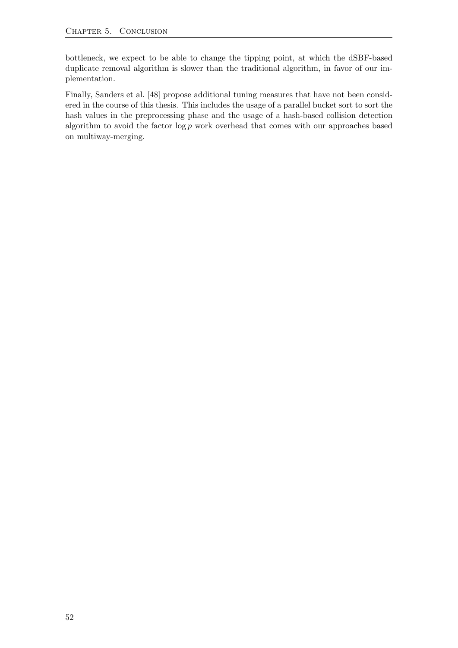bottleneck, we expect to be able to change the tipping point, at which the dSBF-based duplicate removal algorithm is slower than the traditional algorithm, in favor of our implementation.

Finally, Sanders et al. [\[48\]](#page-62-0) propose additional tuning measures that have not been considered in the course of this thesis. This includes the usage of a parallel bucket sort to sort the hash values in the preprocessing phase and the usage of a hash-based collision detection algorithm to avoid the factor  $\log p$  work overhead that comes with our approaches based on multiway-merging.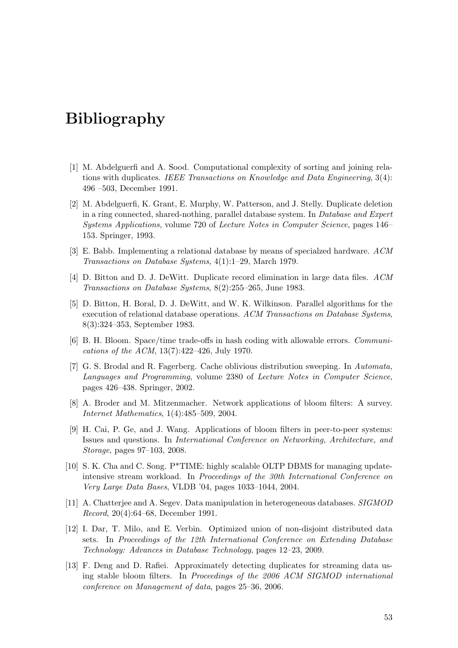## Bibliography

- <span id="page-60-3"></span>[1] M. Abdelguerfi and A. Sood. Computational complexity of sorting and joining relations with duplicates. IEEE Transactions on Knowledge and Data Engineering,  $3(4)$ : 496 –503, December 1991.
- <span id="page-60-6"></span>[2] M. Abdelguerfi, K. Grant, E. Murphy, W. Patterson, and J. Stelly. Duplicate deletion in a ring connected, shared-nothing, parallel database system. In Database and Expert Systems Applications, volume 720 of Lecture Notes in Computer Science, pages 146– 153. Springer, 1993.
- <span id="page-60-9"></span>[3] E. Babb. Implementing a relational database by means of specialzed hardware. ACM Transactions on Database Systems, 4(1):1–29, March 1979.
- <span id="page-60-4"></span>[4] D. Bitton and D. J. DeWitt. Duplicate record elimination in large data files. ACM Transactions on Database Systems, 8(2):255–265, June 1983.
- <span id="page-60-0"></span>[5] D. Bitton, H. Boral, D. J. DeWitt, and W. K. Wilkinson. Parallel algorithms for the execution of relational database operations. ACM Transactions on Database Systems, 8(3):324–353, September 1983.
- <span id="page-60-8"></span>[6] B. H. Bloom. Space/time trade-offs in hash coding with allowable errors. Communications of the ACM, 13(7):422–426, July 1970.
- <span id="page-60-5"></span>[7] G. S. Brodal and R. Fagerberg. Cache oblivious distribution sweeping. In Automata, Languages and Programming, volume 2380 of Lecture Notes in Computer Science, pages 426–438. Springer, 2002.
- <span id="page-60-7"></span>[8] A. Broder and M. Mitzenmacher. Network applications of bloom filters: A survey. Internet Mathematics, 1(4):485–509, 2004.
- <span id="page-60-10"></span>[9] H. Cai, P. Ge, and J. Wang. Applications of bloom filters in peer-to-peer systems: Issues and questions. In International Conference on Networking, Architecture, and Storage, pages 97–103, 2008.
- <span id="page-60-2"></span>[10] S. K. Cha and C. Song. P\*TIME: highly scalable OLTP DBMS for managing updateintensive stream workload. In Proceedings of the 30th International Conference on Very Large Data Bases, VLDB '04, pages 1033–1044, 2004.
- <span id="page-60-1"></span>[11] A. Chatterjee and A. Segev. Data manipulation in heterogeneous databases. SIGMOD Record, 20(4):64–68, December 1991.
- <span id="page-60-11"></span>[12] I. Dar, T. Milo, and E. Verbin. Optimized union of non-disjoint distributed data sets. In Proceedings of the 12th International Conference on Extending Database Technology: Advances in Database Technology, pages 12–23, 2009.
- <span id="page-60-12"></span>[13] F. Deng and D. Rafiei. Approximately detecting duplicates for streaming data using stable bloom filters. In Proceedings of the 2006 ACM SIGMOD international conference on Management of data, pages 25–36, 2006.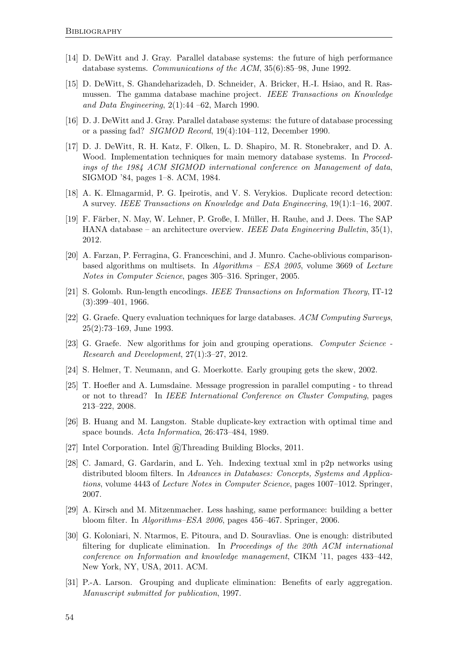- <span id="page-61-11"></span>[14] D. DeWitt and J. Gray. Parallel database systems: the future of high performance database systems. Communications of the ACM, 35(6):85–98, June 1992.
- <span id="page-61-0"></span>[15] D. DeWitt, S. Ghandeharizadeh, D. Schneider, A. Bricker, H.-I. Hsiao, and R. Rasmussen. The gamma database machine project. IEEE Transactions on Knowledge and Data Engineering,  $2(1):44 - 62$ , March 1990.
- <span id="page-61-2"></span>[16] D. J. DeWitt and J. Gray. Parallel database systems: the future of database processing or a passing fad? SIGMOD Record, 19(4):104–112, December 1990.
- <span id="page-61-8"></span>[17] D. J. DeWitt, R. H. Katz, F. Olken, L. D. Shapiro, M. R. Stonebraker, and D. A. Wood. Implementation techniques for main memory database systems. In *Proceed*ings of the 1984 ACM SIGMOD international conference on Management of data, SIGMOD '84, pages 1–8. ACM, 1984.
- <span id="page-61-1"></span>[18] A. K. Elmagarmid, P. G. Ipeirotis, and V. S. Verykios. Duplicate record detection: A survey. IEEE Transactions on Knowledge and Data Engineering, 19(1):1–16, 2007.
- <span id="page-61-3"></span>[19] F. Färber, N. May, W. Lehner, P. Große, I. Müller, H. Rauhe, and J. Dees. The SAP HANA database – an architecture overview. IEEE Data Engineering Bulletin, 35(1), 2012.
- <span id="page-61-6"></span>[20] A. Farzan, P. Ferragina, G. Franceschini, and J. Munro. Cache-oblivious comparisonbased algorithms on multisets. In Algorithms – ESA 2005, volume 3669 of Lecture Notes in Computer Science, pages 305–316. Springer, 2005.
- <span id="page-61-12"></span>[21] S. Golomb. Run-length encodings. IEEE Transactions on Information Theory, IT-12  $(3):399-401, 1966.$
- <span id="page-61-5"></span>[22] G. Graefe. Query evaluation techniques for large databases. ACM Computing Surveys, 25(2):73–169, June 1993.
- <span id="page-61-10"></span>[23] G. Graefe. New algorithms for join and grouping operations. Computer Science - Research and Development, 27(1):3–27, 2012.
- <span id="page-61-7"></span>[24] S. Helmer, T. Neumann, and G. Moerkotte. Early grouping gets the skew, 2002.
- <span id="page-61-17"></span>[25] T. Hoefler and A. Lumsdaine. Message progression in parallel computing - to thread or not to thread? In IEEE International Conference on Cluster Computing, pages 213–222, 2008.
- <span id="page-61-4"></span>[26] B. Huang and M. Langston. Stable duplicate-key extraction with optimal time and space bounds. Acta Informatica, 26:473–484, 1989.
- <span id="page-61-16"></span>[27] Intel Corporation. Intel @Threading Building Blocks, 2011.
- <span id="page-61-13"></span>[28] C. Jamard, G. Gardarin, and L. Yeh. Indexing textual xml in p2p networks using distributed bloom filters. In Advances in Databases: Concepts, Systems and Applications, volume 4443 of Lecture Notes in Computer Science, pages 1007–1012. Springer, 2007.
- <span id="page-61-15"></span>[29] A. Kirsch and M. Mitzenmacher. Less hashing, same performance: building a better bloom filter. In Algorithms–ESA 2006, pages 456–467. Springer, 2006.
- <span id="page-61-14"></span>[30] G. Koloniari, N. Ntarmos, E. Pitoura, and D. Souravlias. One is enough: distributed filtering for duplicate elimination. In *Proceedings of the 20th ACM international* conference on Information and knowledge management, CIKM '11, pages 433–442, New York, NY, USA, 2011. ACM.
- <span id="page-61-9"></span>[31] P.-A. Larson. Grouping and duplicate elimination: Benefits of early aggregation. Manuscript submitted for publication, 1997.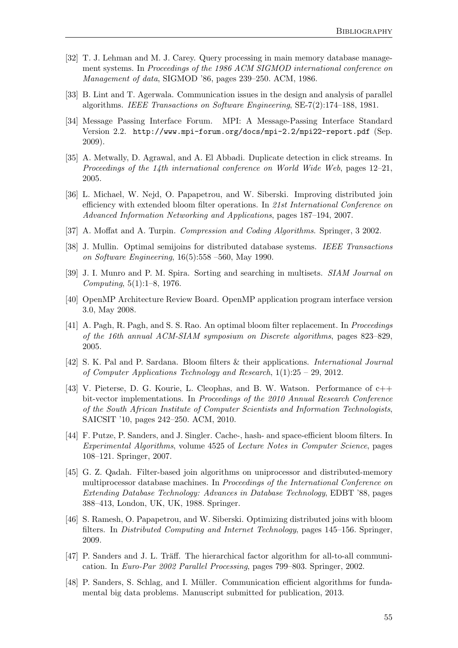- <span id="page-62-5"></span>[32] T. J. Lehman and M. J. Carey. Query processing in main memory database management systems. In Proceedings of the 1986 ACM SIGMOD international conference on Management of data, SIGMOD '86, pages 239–250. ACM, 1986.
- <span id="page-62-1"></span>[33] B. Lint and T. Agerwala. Communication issues in the design and analysis of parallel algorithms. IEEE Transactions on Software Engineering, SE-7(2):174–188, 1981.
- <span id="page-62-14"></span>[34] Message Passing Interface Forum. MPI: A Message-Passing Interface Standard Version 2.2. http://www.mpi-forum.org/docs/mpi-2.2/mpi22-report.pdf (Sep. 2009).
- <span id="page-62-11"></span>[35] A. Metwally, D. Agrawal, and A. El Abbadi. Duplicate detection in click streams. In Proceedings of the 14th international conference on World Wide Web, pages  $12-21$ , 2005.
- <span id="page-62-10"></span>[36] L. Michael, W. Nejd, O. Papapetrou, and W. Siberski. Improving distributed join efficiency with extended bloom filter operations. In 21st International Conference on Advanced Information Networking and Applications, pages 187–194, 2007.
- <span id="page-62-3"></span>[37] A. Moffat and A. Turpin. Compression and Coding Algorithms. Springer, 3 2002.
- <span id="page-62-7"></span>[38] J. Mullin. Optimal semijoins for distributed database systems. IEEE Transactions on Software Engineering, 16(5):558 –560, May 1990.
- <span id="page-62-4"></span>[39] J. I. Munro and P. M. Spira. Sorting and searching in multisets. SIAM Journal on Computing, 5(1):1–8, 1976.
- <span id="page-62-15"></span>[40] OpenMP Architecture Review Board. OpenMP application program interface version 3.0, May 2008.
- <span id="page-62-13"></span>[41] A. Pagh, R. Pagh, and S. S. Rao. An optimal bloom filter replacement. In Proceedings of the 16th annual ACM-SIAM symposium on Discrete algorithms, pages 823–829, 2005.
- <span id="page-62-12"></span>[42] S. K. Pal and P. Sardana. Bloom filters & their applications. International Journal of Computer Applications Technology and Research, 1(1):25 – 29, 2012.
- <span id="page-62-16"></span>[43] V. Pieterse, D. G. Kourie, L. Cleophas, and B. W. Watson. Performance of c++ bit-vector implementations. In Proceedings of the 2010 Annual Research Conference of the South African Institute of Computer Scientists and Information Technologists, SAICSIT '10, pages 242–250. ACM, 2010.
- <span id="page-62-6"></span>[44] F. Putze, P. Sanders, and J. Singler. Cache-, hash- and space-efficient bloom filters. In Experimental Algorithms, volume 4525 of Lecture Notes in Computer Science, pages 108–121. Springer, 2007.
- <span id="page-62-8"></span>[45] G. Z. Qadah. Filter-based join algorithms on uniprocessor and distributed-memory multiprocessor database machines. In Proceedings of the International Conference on Extending Database Technology: Advances in Database Technology, EDBT '88, pages 388–413, London, UK, UK, 1988. Springer.
- <span id="page-62-9"></span>[46] S. Ramesh, O. Papapetrou, and W. Siberski. Optimizing distributed joins with bloom filters. In Distributed Computing and Internet Technology, pages 145–156. Springer, 2009.
- <span id="page-62-2"></span>[47] P. Sanders and J. L. Träff. The hierarchical factor algorithm for all-to-all communication. In Euro-Par 2002 Parallel Processing, pages 799–803. Springer, 2002.
- <span id="page-62-0"></span>[48] P. Sanders, S. Schlag, and I. Müller. Communication efficient algorithms for fundamental big data problems. Manuscript submitted for publication, 2013.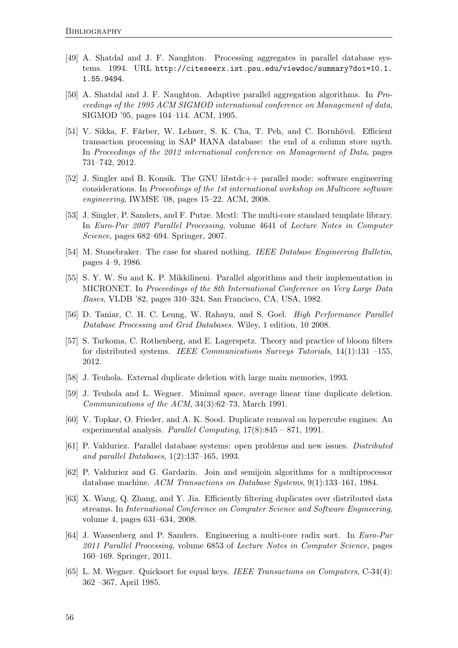- <span id="page-63-0"></span>[49] A. Shatdal and J. F. Naughton. Processing aggregates in parallel database systems. 1994. URL [http://citeseerx.ist.psu.edu/viewdoc/summary?doi=10.1.](http://citeseerx.ist.psu.edu/viewdoc/summary?doi=10.1.1.55.9494) [1.55.9494](http://citeseerx.ist.psu.edu/viewdoc/summary?doi=10.1.1.55.9494).
- <span id="page-63-10"></span>[50] A. Shatdal and J. F. Naughton. Adaptive parallel aggregation algorithms. In Proceedings of the 1995 ACM SIGMOD international conference on Management of data, SIGMOD '95, pages 104–114. ACM, 1995.
- <span id="page-63-4"></span>[51] V. Sikka, F. Färber, W. Lehner, S. K. Cha, T. Peh, and C. Bornhövd. Efficient transaction processing in SAP HANA database: the end of a column store myth. In Proceedings of the 2012 international conference on Management of Data, pages 731–742, 2012.
- <span id="page-63-15"></span>[52] J. Singler and B. Konsik. The GNU libstdc++ parallel mode: software engineering considerations. In Proceedings of the 1st international workshop on Multicore software engineering, IWMSE '08, pages 15–22. ACM, 2008.
- <span id="page-63-16"></span>[53] J. Singler, P. Sanders, and F. Putze. Mcstl: The multi-core standard template library. In Euro-Par 2007 Parallel Processing, volume 4641 of Lecture Notes in Computer Science, pages 682–694. Springer, 2007.
- <span id="page-63-3"></span>[54] M. Stonebraker. The case for shared nothing. IEEE Database Engineering Bulletin, pages 4–9, 1986.
- <span id="page-63-11"></span>[55] S. Y. W. Su and K. P. Mikkilineni. Parallel algorithms and their implementation in MICRONET. In Proceedings of the 8th International Conference on Very Large Data Bases, VLDB '82, pages 310–324, San Francisco, CA, USA, 1982.
- <span id="page-63-9"></span>[56] D. Taniar, C. H. C. Leung, W. Rahayu, and S. Goel. High Performance Parallel Database Processing and Grid Databases. Wiley, 1 edition, 10 2008.
- <span id="page-63-12"></span>[57] S. Tarkoma, C. Rothenberg, and E. Lagerspetz. Theory and practice of bloom filters for distributed systems. IEEE Communications Surveys Tutorials, 14(1):131 –155, 2012.
- <span id="page-63-8"></span>[58] J. Teuhola. External duplicate deletion with large main memories, 1993.
- <span id="page-63-7"></span>[59] J. Teuhola and L. Wegner. Minimal space, average linear time duplicate deletion. Communications of the ACM, 34(3):62–73, March 1991.
- <span id="page-63-1"></span>[60] V. Topkar, O. Frieder, and A. K. Sood. Duplicate removal on hypercube engines: An experimental analysis. Parallel Computing, 17(8):845 – 871, 1991.
- <span id="page-63-2"></span>[61] P. Valduriez. Parallel database systems: open problems and new issues. Distributed and parallel Databases, 1(2):137–165, 1993.
- <span id="page-63-13"></span>[62] P. Valduriez and G. Gardarin. Join and semijoin algorithms for a multiprocessor database machine. ACM Transactions on Database Systems, 9(1):133–161, 1984.
- <span id="page-63-14"></span>[63] X. Wang, Q. Zhang, and Y. Jia. Efficiently filtering duplicates over distributed data streams. In International Conference on Computer Science and Software Engineering, volume 4, pages 631–634, 2008.
- <span id="page-63-5"></span>[64] J. Wassenberg and P. Sanders. Engineering a multi-core radix sort. In Euro-Par 2011 Parallel Processing, volume 6853 of Lecture Notes in Computer Science, pages 160–169. Springer, 2011.
- <span id="page-63-6"></span>[65] L. M. Wegner. Quicksort for equal keys. IEEE Transactions on Computers, C-34(4): 362 –367, April 1985.